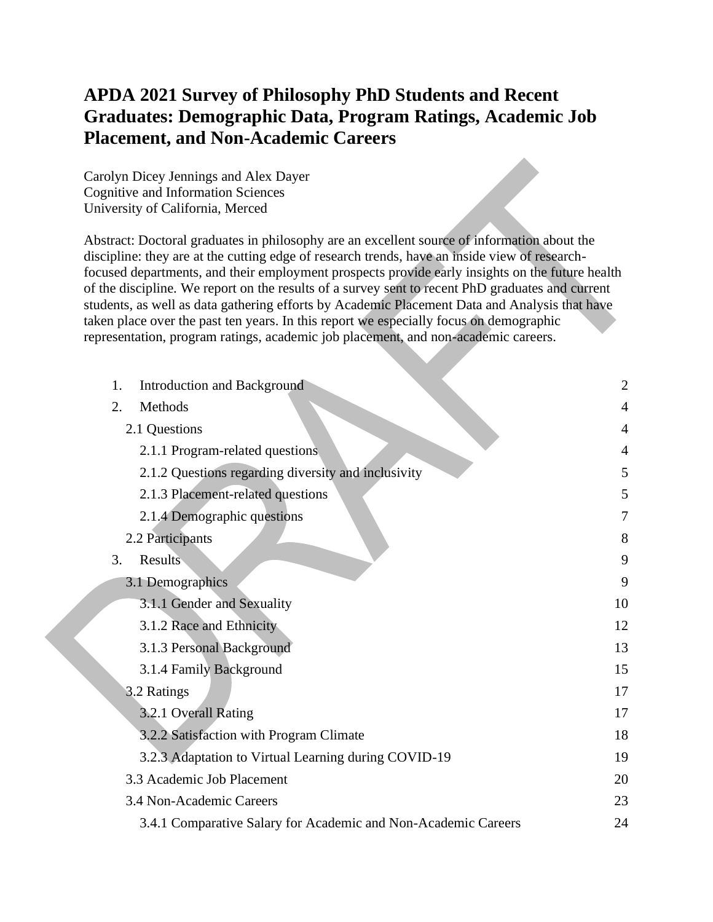## **APDA 2021 Survey of Philosophy PhD Students and Recent Graduates: Demographic Data, Program Ratings, Academic Job Placement, and Non-Academic Careers**

Carolyn Dicey Jennings and Alex Dayer Cognitive and Information Sciences University of California, Merced

Abstract: Doctoral graduates in philosophy are an excellent source of information about the discipline: they are at the cutting edge of research trends, have an inside view of researchfocused departments, and their employment prospects provide early insights on the future health of the discipline. We report on the results of a survey sent to recent PhD graduates and current students, as well as data gathering efforts by Academic Placement Data and Analysis that have taken place over the past ten years. In this report we especially focus on demographic representation, program ratings, academic job placement, and non-academic careers.

| 1.<br><b>Introduction and Background</b>                       | $\overline{2}$ |
|----------------------------------------------------------------|----------------|
| Methods<br>2.                                                  | 4              |
| 2.1 Questions                                                  | $\overline{4}$ |
| 2.1.1 Program-related questions                                | $\overline{4}$ |
| 2.1.2 Questions regarding diversity and inclusivity            | 5              |
| 2.1.3 Placement-related questions                              | 5              |
| 2.1.4 Demographic questions                                    | 7              |
| 2.2 Participants                                               | 8              |
| <b>Results</b><br>3.                                           | 9              |
| 3.1 Demographics                                               | 9              |
| 3.1.1 Gender and Sexuality                                     | 10             |
| 3.1.2 Race and Ethnicity                                       | 12             |
| 3.1.3 Personal Background                                      | 13             |
| 3.1.4 Family Background                                        | 15             |
| 3.2 Ratings                                                    | 17             |
| 3.2.1 Overall Rating                                           | 17             |
| 3.2.2 Satisfaction with Program Climate                        | 18             |
| 3.2.3 Adaptation to Virtual Learning during COVID-19           | 19             |
| 3.3 Academic Job Placement                                     | 20             |
| 3.4 Non-Academic Careers                                       | 23             |
| 3.4.1 Comparative Salary for Academic and Non-Academic Careers | 24             |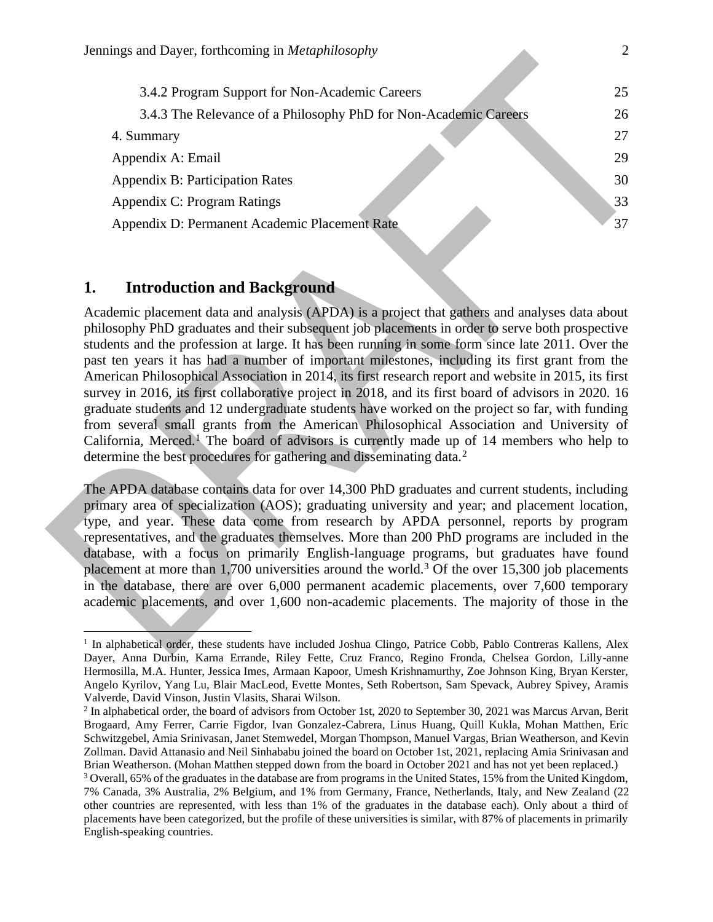| 3.4.2 Program Support for Non-Academic Careers                   | 25 |
|------------------------------------------------------------------|----|
|                                                                  |    |
| 3.4.3 The Relevance of a Philosophy PhD for Non-Academic Careers | 26 |
| 4. Summary                                                       | 27 |
| Appendix A: Email                                                | 29 |
| <b>Appendix B: Participation Rates</b>                           | 30 |
| Appendix C: Program Ratings                                      | 33 |
| Appendix D: Permanent Academic Placement Rate                    | 37 |
|                                                                  |    |

#### **1. Introduction and Background**

Academic placement data and analysis (APDA) is a project that gathers and analyses data about philosophy PhD graduates and their subsequent job placements in order to serve both prospective students and the profession at large. It has been running in some form since late 2011. Over the past ten years it has had a number of important milestones, including its first grant from the American Philosophical Association in 2014, its first research report and website in 2015, its first survey in 2016, its first collaborative project in 2018, and its first board of advisors in 2020. 16 graduate students and 12 undergraduate students have worked on the project so far, with funding from several small grants from the American Philosophical Association and University of California, Merced.<sup>1</sup> The board of advisors is currently made up of 14 members who help to determine the best procedures for gathering and disseminating data.<sup>2</sup>

The APDA database contains data for over 14,300 PhD graduates and current students, including primary area of specialization (AOS); graduating university and year; and placement location, type, and year. These data come from research by APDA personnel, reports by program representatives, and the graduates themselves. More than 200 PhD programs are included in the database, with a focus on primarily English-language programs, but graduates have found placement at more than  $1,700$  universities around the world.<sup>3</sup> Of the over 15,300 job placements in the database, there are over 6,000 permanent academic placements, over 7,600 temporary academic placements, and over 1,600 non-academic placements. The majority of those in the

<sup>&</sup>lt;sup>1</sup> In alphabetical order, these students have included Joshua Clingo, Patrice Cobb, Pablo Contreras Kallens, Alex Dayer, Anna Durbin, Karna Errande, Riley Fette, Cruz Franco, Regino Fronda, Chelsea Gordon, Lilly-anne Hermosilla, M.A. Hunter, Jessica Imes, Armaan Kapoor, Umesh Krishnamurthy, Zoe Johnson King, Bryan Kerster, Angelo Kyrilov, Yang Lu, Blair MacLeod, Evette Montes, Seth Robertson, Sam Spevack, Aubrey Spivey, Aramis Valverde, David Vinson, Justin Vlasits, Sharai Wilson.

 $^2$  In alphabetical order, the board of advisors from October 1st, 2020 to September 30, 2021 was Marcus Arvan, Berit Brogaard, Amy Ferrer, Carrie Figdor, Ivan Gonzalez-Cabrera, Linus Huang, Quill Kukla, Mohan Matthen, Eric Schwitzgebel, Amia Srinivasan, Janet Stemwedel, Morgan Thompson, Manuel Vargas, Brian Weatherson, and Kevin Zollman. David Attanasio and Neil Sinhababu joined the board on October 1st, 2021, replacing Amia Srinivasan and Brian Weatherson. (Mohan Matthen stepped down from the board in October 2021 and has not yet been replaced.)

<sup>3</sup> Overall, 65% of the graduates in the database are from programs in the United States, 15% from the United Kingdom, 7% Canada, 3% Australia, 2% Belgium, and 1% from Germany, France, Netherlands, Italy, and New Zealand (22 other countries are represented, with less than 1% of the graduates in the database each). Only about a third of placements have been categorized, but the profile of these universities is similar, with 87% of placements in primarily English-speaking countries.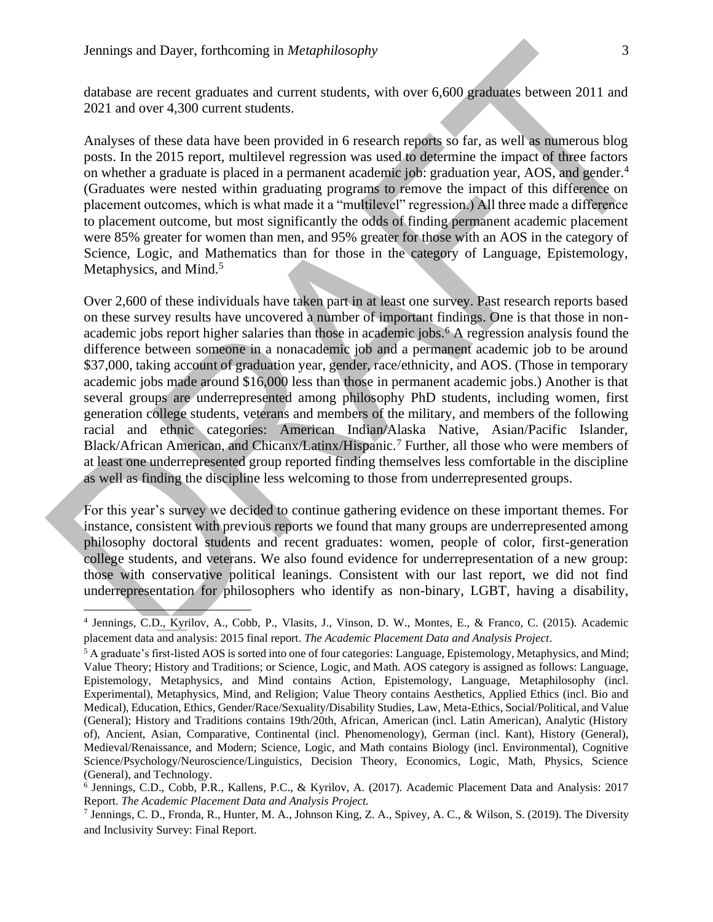database are recent graduates and current students, with over 6,600 graduates between 2011 and 2021 and over 4,300 current students.

Analyses of these data have been provided in 6 research reports so far, as well as numerous blog posts. In the 2015 report, multilevel regression was used to determine the impact of three factors on whether a graduate is placed in a permanent academic job: graduation year, AOS, and gender.<sup>4</sup> (Graduates were nested within graduating programs to remove the impact of this difference on placement outcomes, which is what made it a "multilevel" regression.) All three made a difference to placement outcome, but most significantly the odds of finding permanent academic placement were 85% greater for women than men, and 95% greater for those with an AOS in the category of Science, Logic, and Mathematics than for those in the category of Language, Epistemology, Metaphysics, and Mind.<sup>5</sup>

Over 2,600 of these individuals have taken part in at least one survey. Past research reports based on these survey results have uncovered a number of important findings. One is that those in nonacademic jobs report higher salaries than those in academic jobs.<sup>6</sup> A regression analysis found the difference between someone in a nonacademic job and a permanent academic job to be around \$37,000, taking account of graduation year, gender, race/ethnicity, and AOS. (Those in temporary academic jobs made around \$16,000 less than those in permanent academic jobs.) Another is that several groups are underrepresented among philosophy PhD students, including women, first generation college students, veterans and members of the military, and members of the following racial and ethnic categories: American Indian/Alaska Native, Asian/Pacific Islander, Black/African American, and Chicanx/Latinx/Hispanic.<sup>7</sup> Further, all those who were members of at least one underrepresented group reported finding themselves less comfortable in the discipline as well as finding the discipline less welcoming to those from underrepresented groups.

For this year's survey we decided to continue gathering evidence on these important themes. For instance, consistent with previous reports we found that many groups are underrepresented among philosophy doctoral students and recent graduates: women, people of color, first-generation college students, and veterans. We also found evidence for underrepresentation of a new group: those with conservative political leanings. Consistent with our last report, we did not find underrepresentation for philosophers who identify as non-binary, LGBT, having a disability,

<sup>4</sup> Jennings, C.D., Kyrilov, A., Cobb, P., Vlasits, J., Vinson, D. W., Montes, E., & Franco, C. (2015). Academic placement data and analysis: 2015 final report. *The Academic Placement Data and Analysis Project*.

<sup>&</sup>lt;sup>5</sup> A graduate's first-listed AOS is sorted into one of four categories: Language, Epistemology, Metaphysics, and Mind; Value Theory; History and Traditions; or Science, Logic, and Math. AOS category is assigned as follows: Language, Epistemology, Metaphysics, and Mind contains Action, Epistemology, Language, Metaphilosophy (incl. Experimental), Metaphysics, Mind, and Religion; Value Theory contains Aesthetics, Applied Ethics (incl. Bio and Medical), Education, Ethics, Gender/Race/Sexuality/Disability Studies, Law, Meta-Ethics, Social/Political, and Value (General); History and Traditions contains 19th/20th, African, American (incl. Latin American), Analytic (History of), Ancient, Asian, Comparative, Continental (incl. Phenomenology), German (incl. Kant), History (General), Medieval/Renaissance, and Modern; Science, Logic, and Math contains Biology (incl. Environmental), Cognitive Science/Psychology/Neuroscience/Linguistics, Decision Theory, Economics, Logic, Math, Physics, Science (General), and Technology.

<sup>6</sup> Jennings, C.D., Cobb, P.R., Kallens, P.C., & Kyrilov, A. (2017). Academic Placement Data and Analysis: 2017 Report. *The Academic Placement Data and Analysis Project.*

<sup>7</sup> Jennings, C. D., Fronda, R., Hunter, M. A., Johnson King, Z. A., Spivey, A. C., & Wilson, S. (2019). The Diversity and Inclusivity Survey: Final Report.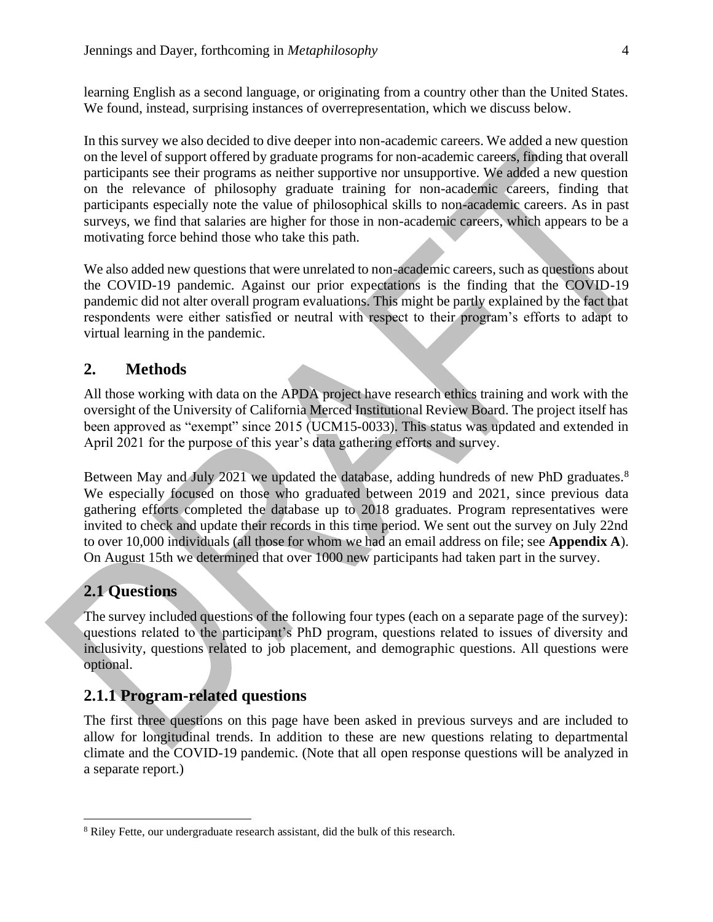learning English as a second language, or originating from a country other than the United States. We found, instead, surprising instances of overrepresentation, which we discuss below.

In this survey we also decided to dive deeper into non-academic careers. We added a new question on the level of support offered by graduate programs for non-academic careers, finding that overall participants see their programs as neither supportive nor unsupportive. We added a new question on the relevance of philosophy graduate training for non-academic careers, finding that participants especially note the value of philosophical skills to non-academic careers. As in past surveys, we find that salaries are higher for those in non-academic careers, which appears to be a motivating force behind those who take this path.

We also added new questions that were unrelated to non-academic careers, such as questions about the COVID-19 pandemic. Against our prior expectations is the finding that the COVID-19 pandemic did not alter overall program evaluations. This might be partly explained by the fact that respondents were either satisfied or neutral with respect to their program's efforts to adapt to virtual learning in the pandemic.

#### **2. Methods**

All those working with data on the APDA project have research ethics training and work with the oversight of the University of California Merced Institutional Review Board. The project itself has been approved as "exempt" since 2015 (UCM15-0033). This status was updated and extended in April 2021 for the purpose of this year's data gathering efforts and survey.

Between May and July 2021 we updated the database, adding hundreds of new PhD graduates.<sup>8</sup> We especially focused on those who graduated between 2019 and 2021, since previous data gathering efforts completed the database up to 2018 graduates. Program representatives were invited to check and update their records in this time period. We sent out the survey on July 22nd to over 10,000 individuals (all those for whom we had an email address on file; see **Appendix A**). On August 15th we determined that over 1000 new participants had taken part in the survey.

#### **2.1 Questions**

The survey included questions of the following four types (each on a separate page of the survey): questions related to the participant's PhD program, questions related to issues of diversity and inclusivity, questions related to job placement, and demographic questions. All questions were optional.

#### **2.1.1 Program-related questions**

The first three questions on this page have been asked in previous surveys and are included to allow for longitudinal trends. In addition to these are new questions relating to departmental climate and the COVID-19 pandemic. (Note that all open response questions will be analyzed in a separate report.)

<sup>&</sup>lt;sup>8</sup> Riley Fette, our undergraduate research assistant, did the bulk of this research.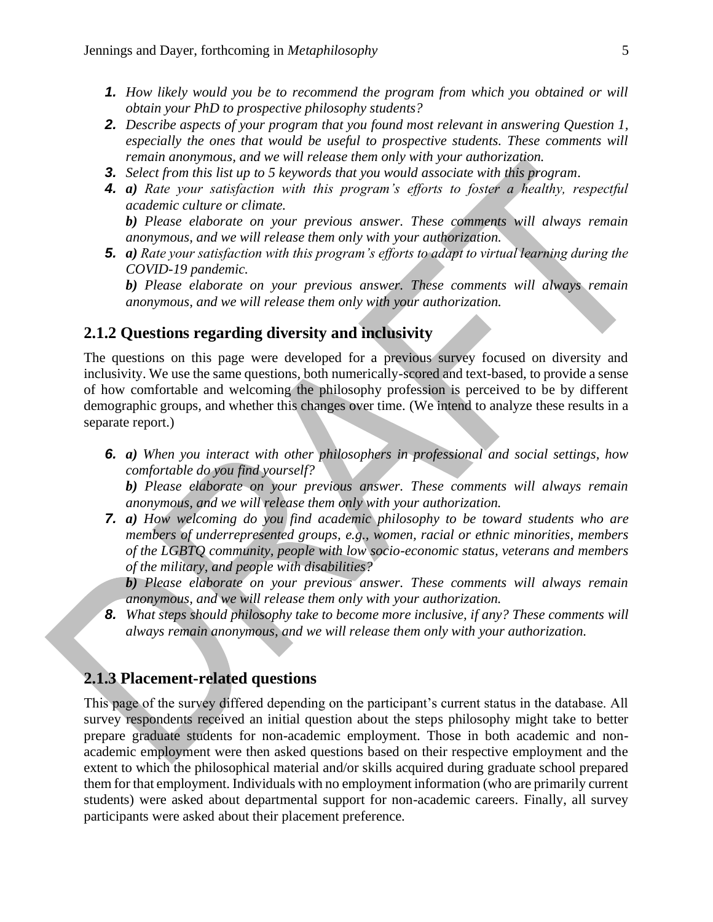- *1. How likely would you be to recommend the program from which you obtained or will obtain your PhD to prospective philosophy students?*
- *2. Describe aspects of your program that you found most relevant in answering Question 1, especially the ones that would be useful to prospective students. These comments will remain anonymous, and we will release them only with your authorization.*
- *3. Select from this list up to 5 keywords that you would associate with this program.*
- *4. a) Rate your satisfaction with this program's efforts to foster a healthy, respectful academic culture or climate.*

*b) Please elaborate on your previous answer. These comments will always remain anonymous, and we will release them only with your authorization.*

*5. a) Rate your satisfaction with this program's efforts to adapt to virtual learning during the COVID-19 pandemic.*

*b) Please elaborate on your previous answer. These comments will always remain anonymous, and we will release them only with your authorization.*

#### **2.1.2 Questions regarding diversity and inclusivity**

The questions on this page were developed for a previous survey focused on diversity and inclusivity. We use the same questions, both numerically-scored and text-based, to provide a sense of how comfortable and welcoming the philosophy profession is perceived to be by different demographic groups, and whether this changes over time. (We intend to analyze these results in a separate report.)

*6. a) When you interact with other philosophers in professional and social settings, how comfortable do you find yourself?* 

*b) Please elaborate on your previous answer. These comments will always remain anonymous, and we will release them only with your authorization.*

*7. a) How welcoming do you find academic philosophy to be toward students who are members of underrepresented groups, e.g., women, racial or ethnic minorities, members of the LGBTQ community, people with low socio-economic status, veterans and members of the military, and people with disabilities?*

*b) Please elaborate on your previous answer. These comments will always remain anonymous, and we will release them only with your authorization.*

*8. What steps should philosophy take to become more inclusive, if any? These comments will always remain anonymous, and we will release them only with your authorization.*

### **2.1.3 Placement-related questions**

This page of the survey differed depending on the participant's current status in the database. All survey respondents received an initial question about the steps philosophy might take to better prepare graduate students for non-academic employment. Those in both academic and nonacademic employment were then asked questions based on their respective employment and the extent to which the philosophical material and/or skills acquired during graduate school prepared them for that employment. Individuals with no employment information (who are primarily current students) were asked about departmental support for non-academic careers. Finally, all survey participants were asked about their placement preference.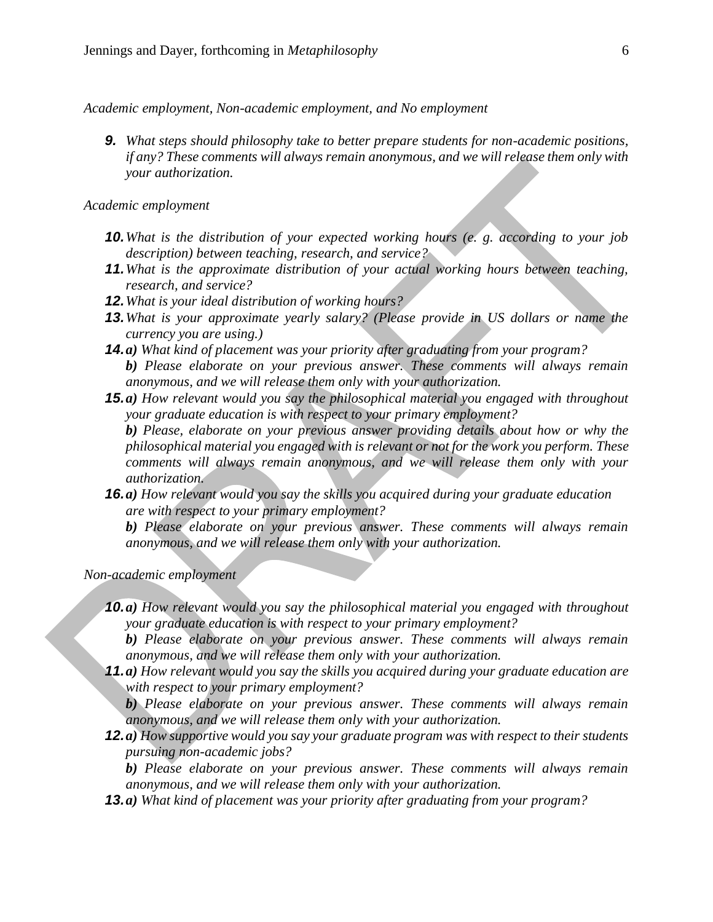*Academic employment, Non-academic employment, and No employment*

*9. What steps should philosophy take to better prepare students for non-academic positions, if any? These comments will always remain anonymous, and we will release them only with your authorization.*

*Academic employment*

- *10.What is the distribution of your expected working hours (e. g. according to your job description) between teaching, research, and service?*
- *11.What is the approximate distribution of your actual working hours between teaching, research, and service?*
- *12.What is your ideal distribution of working hours?*
- *13.What is your approximate yearly salary? (Please provide in US dollars or name the currency you are using.)*
- *14.a) What kind of placement was your priority after graduating from your program?*

*b) Please elaborate on your previous answer. These comments will always remain anonymous, and we will release them only with your authorization.*

*15.a) How relevant would you say the philosophical material you engaged with throughout your graduate education is with respect to your primary employment?*

*b) Please, elaborate on your previous answer providing details about how or why the philosophical material you engaged with is relevant or not for the work you perform. These comments will always remain anonymous, and we will release them only with your authorization.*

*16.a) How relevant would you say the skills you acquired during your graduate education are with respect to your primary employment?*

*b) Please elaborate on your previous answer. These comments will always remain anonymous, and we will release them only with your authorization.*

*Non-academic employment*

*10.a) How relevant would you say the philosophical material you engaged with throughout your graduate education is with respect to your primary employment?*

*b) Please elaborate on your previous answer. These comments will always remain anonymous, and we will release them only with your authorization.* 

*11.a) How relevant would you say the skills you acquired during your graduate education are with respect to your primary employment?*

*b) Please elaborate on your previous answer. These comments will always remain anonymous, and we will release them only with your authorization.*

*12.a) How supportive would you say your graduate program was with respect to their students pursuing non-academic jobs?* 

*b) Please elaborate on your previous answer. These comments will always remain anonymous, and we will release them only with your authorization.* 

*13.a) What kind of placement was your priority after graduating from your program?*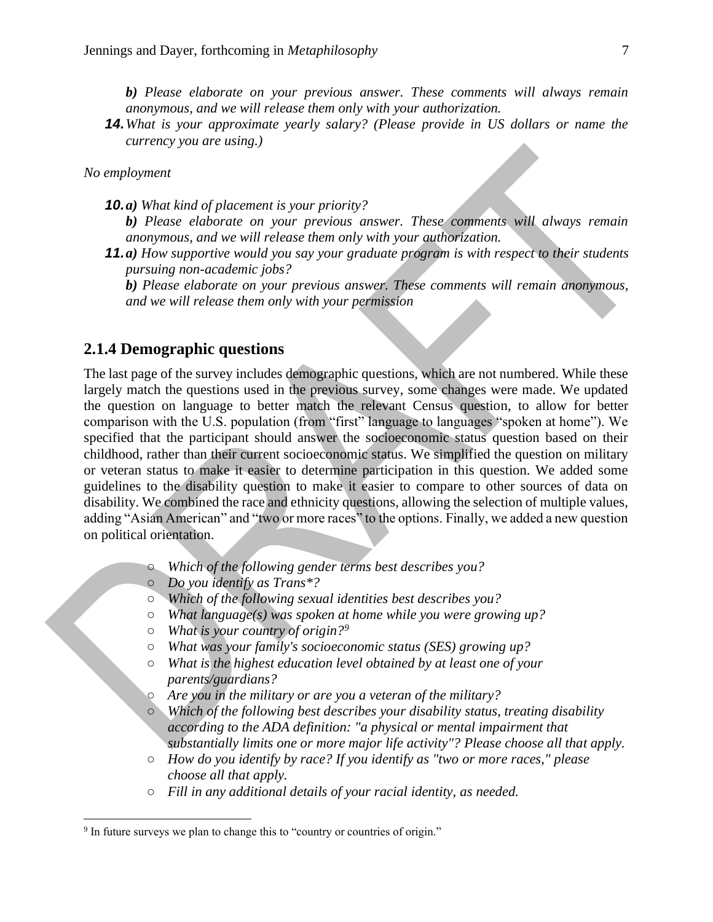*b) Please elaborate on your previous answer. These comments will always remain anonymous, and we will release them only with your authorization.*

*14.What is your approximate yearly salary? (Please provide in US dollars or name the currency you are using.)*

#### *No employment*

*10.a) What kind of placement is your priority?*

- *b) Please elaborate on your previous answer. These comments will always remain anonymous, and we will release them only with your authorization.*
- *11.a) How supportive would you say your graduate program is with respect to their students pursuing non-academic jobs?*

*b) Please elaborate on your previous answer. These comments will remain anonymous, and we will release them only with your permission*

#### **2.1.4 Demographic questions**

The last page of the survey includes demographic questions, which are not numbered. While these largely match the questions used in the previous survey, some changes were made. We updated the question on language to better match the relevant Census question, to allow for better comparison with the U.S. population (from "first" language to languages "spoken at home"). We specified that the participant should answer the socioeconomic status question based on their childhood, rather than their current socioeconomic status. We simplified the question on military or veteran status to make it easier to determine participation in this question. We added some guidelines to the disability question to make it easier to compare to other sources of data on disability. We combined the race and ethnicity questions, allowing the selection of multiple values, adding "Asian American" and "two or more races" to the options. Finally, we added a new question on political orientation.

- *Which of the following gender terms best describes you?*
- *Do you identify as Trans\*?*
- *Which of the following sexual identities best describes you?*
- *What language(s) was spoken at home while you were growing up?*
- *What is your country of origin?<sup>9</sup>*
- *What was your family's socioeconomic status (SES) growing up?*
- *What is the highest education level obtained by at least one of your parents/guardians?*
- *Are you in the military or are you a veteran of the military?*
- *Which of the following best describes your disability status, treating disability according to the ADA definition: "a physical or mental impairment that substantially limits one or more major life activity"? Please choose all that apply.*
- *How do you identify by race? If you identify as "two or more races," please choose all that apply.*
- *Fill in any additional details of your racial identity, as needed.*

<sup>&</sup>lt;sup>9</sup> In future surveys we plan to change this to "country or countries of origin."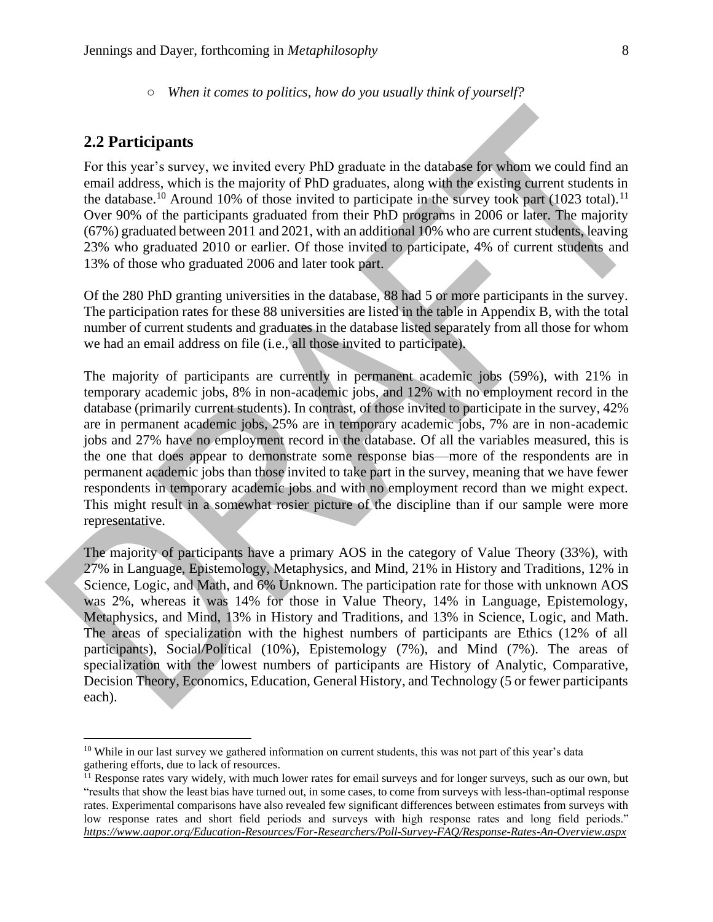#### **2.2 Participants**

For this year's survey, we invited every PhD graduate in the database for whom we could find an email address, which is the majority of PhD graduates, along with the existing current students in the database.<sup>10</sup> Around 10% of those invited to participate in the survey took part (1023 total).<sup>11</sup> Over 90% of the participants graduated from their PhD programs in 2006 or later. The majority (67%) graduated between 2011 and 2021, with an additional 10% who are current students, leaving 23% who graduated 2010 or earlier. Of those invited to participate, 4% of current students and 13% of those who graduated 2006 and later took part.

Of the 280 PhD granting universities in the database, 88 had 5 or more participants in the survey. The participation rates for these 88 universities are listed in the table in Appendix B, with the total number of current students and graduates in the database listed separately from all those for whom we had an email address on file (i.e., all those invited to participate).

The majority of participants are currently in permanent academic jobs (59%), with 21% in temporary academic jobs, 8% in non-academic jobs, and 12% with no employment record in the database (primarily current students). In contrast, of those invited to participate in the survey, 42% are in permanent academic jobs, 25% are in temporary academic jobs, 7% are in non-academic jobs and 27% have no employment record in the database. Of all the variables measured, this is the one that does appear to demonstrate some response bias—more of the respondents are in permanent academic jobs than those invited to take part in the survey, meaning that we have fewer respondents in temporary academic jobs and with no employment record than we might expect. This might result in a somewhat rosier picture of the discipline than if our sample were more representative.

The majority of participants have a primary AOS in the category of Value Theory (33%), with 27% in Language, Epistemology, Metaphysics, and Mind, 21% in History and Traditions, 12% in Science, Logic, and Math, and 6% Unknown. The participation rate for those with unknown AOS was 2%, whereas it was 14% for those in Value Theory, 14% in Language, Epistemology, Metaphysics, and Mind, 13% in History and Traditions, and 13% in Science, Logic, and Math. The areas of specialization with the highest numbers of participants are Ethics (12% of all participants), Social/Political (10%), Epistemology (7%), and Mind (7%). The areas of specialization with the lowest numbers of participants are History of Analytic, Comparative, Decision Theory, Economics, Education, General History, and Technology (5 or fewer participants each).

<sup>&</sup>lt;sup>10</sup> While in our last survey we gathered information on current students, this was not part of this year's data gathering efforts, due to lack of resources.

<sup>&</sup>lt;sup>11</sup> Response rates vary widely, with much lower rates for email surveys and for longer surveys, such as our own, but "results that show the least bias have turned out, in some cases, to come from surveys with less-than-optimal response rates. Experimental comparisons have also revealed few significant differences between estimates from surveys with low response rates and short field periods and surveys with high response rates and long field periods." *<https://www.aapor.org/Education-Resources/For-Researchers/Poll-Survey-FAQ/Response-Rates-An-Overview.aspx>*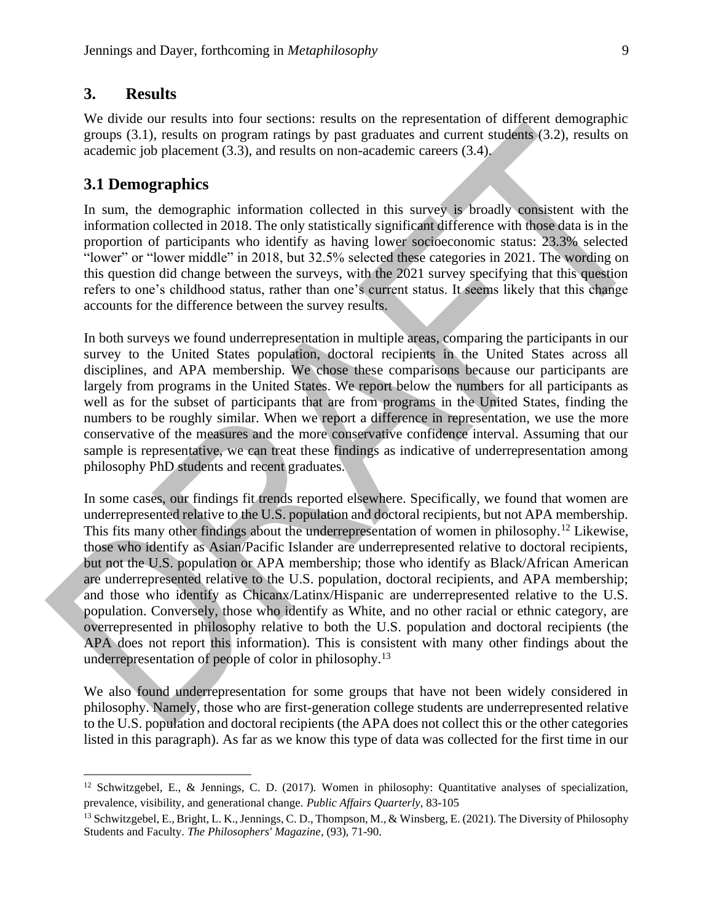#### **3. Results**

We divide our results into four sections: results on the representation of different demographic groups (3.1), results on program ratings by past graduates and current students (3.2), results on academic job placement (3.3), and results on non-academic careers (3.4).

#### **3.1 Demographics**

In sum, the demographic information collected in this survey is broadly consistent with the information collected in 2018. The only statistically significant difference with those data is in the proportion of participants who identify as having lower socioeconomic status: 23.3% selected "lower" or "lower middle" in 2018, but 32.5% selected these categories in 2021. The wording on this question did change between the surveys, with the 2021 survey specifying that this question refers to one's childhood status, rather than one's current status. It seems likely that this change accounts for the difference between the survey results.

In both surveys we found underrepresentation in multiple areas, comparing the participants in our survey to the United States population, doctoral recipients in the United States across all disciplines, and APA membership. We chose these comparisons because our participants are largely from programs in the United States. We report below the numbers for all participants as well as for the subset of participants that are from programs in the United States, finding the numbers to be roughly similar. When we report a difference in representation, we use the more conservative of the measures and the more conservative confidence interval. Assuming that our sample is representative, we can treat these findings as indicative of underrepresentation among philosophy PhD students and recent graduates.

In some cases, our findings fit trends reported elsewhere. Specifically, we found that women are underrepresented relative to the U.S. population and doctoral recipients, but not APA membership. This fits many other findings about the underrepresentation of women in philosophy.<sup>12</sup> Likewise, those who identify as Asian/Pacific Islander are underrepresented relative to doctoral recipients, but not the U.S. population or APA membership; those who identify as Black/African American are underrepresented relative to the U.S. population, doctoral recipients, and APA membership; and those who identify as Chicanx/Latinx/Hispanic are underrepresented relative to the U.S. population. Conversely, those who identify as White, and no other racial or ethnic category, are overrepresented in philosophy relative to both the U.S. population and doctoral recipients (the APA does not report this information). This is consistent with many other findings about the underrepresentation of people of color in philosophy.<sup>13</sup>

We also found underrepresentation for some groups that have not been widely considered in philosophy. Namely, those who are first-generation college students are underrepresented relative to the U.S. population and doctoral recipients (the APA does not collect this or the other categories listed in this paragraph). As far as we know this type of data was collected for the first time in our

<sup>&</sup>lt;sup>12</sup> Schwitzgebel, E., & Jennings, C. D. (2017). Women in philosophy: Quantitative analyses of specialization, prevalence, visibility, and generational change. *Public Affairs Quarterly*, 83-105

<sup>&</sup>lt;sup>13</sup> Schwitzgebel, E., Bright, L. K., Jennings, C. D., Thompson, M., & Winsberg, E. (2021). The Diversity of Philosophy Students and Faculty. *The Philosophers' Magazine*, (93), 71-90.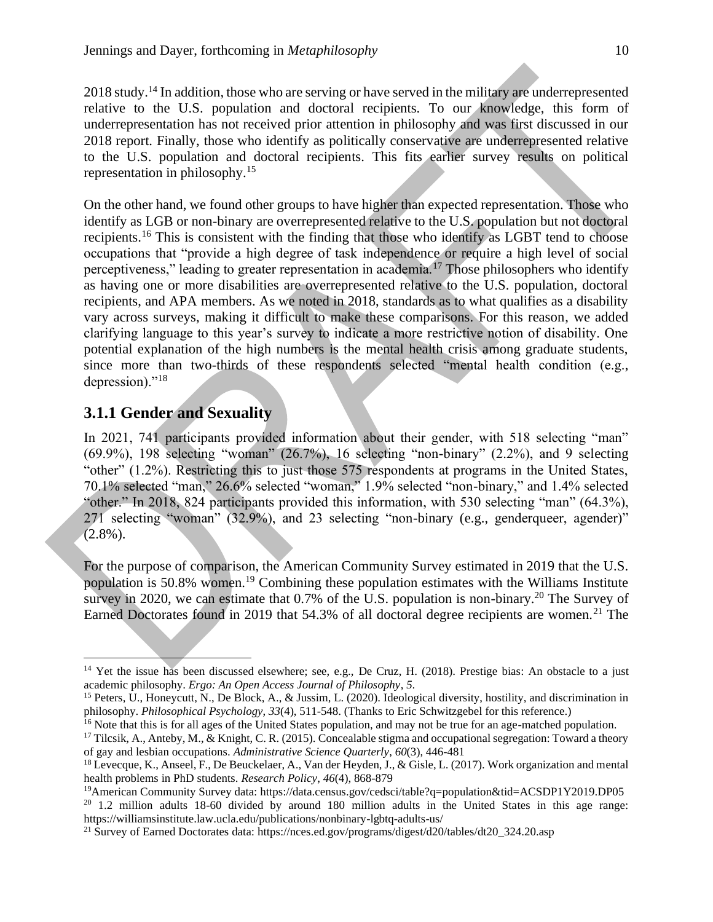2018 study.<sup>14</sup> In addition, those who are serving or have served in the military are underrepresented relative to the U.S. population and doctoral recipients. To our knowledge, this form of underrepresentation has not received prior attention in philosophy and was first discussed in our 2018 report. Finally, those who identify as politically conservative are underrepresented relative to the U.S. population and doctoral recipients. This fits earlier survey results on political representation in philosophy. 15

On the other hand, we found other groups to have higher than expected representation. Those who identify as LGB or non-binary are overrepresented relative to the U.S. population but not doctoral recipients.<sup>16</sup> This is consistent with the finding that those who identify as LGBT tend to choose occupations that "provide a high degree of task independence or require a high level of social perceptiveness," leading to greater representation in academia.<sup>17</sup> Those philosophers who identify as having one or more disabilities are overrepresented relative to the U.S. population, doctoral recipients, and APA members. As we noted in 2018, standards as to what qualifies as a disability vary across surveys, making it difficult to make these comparisons. For this reason, we added clarifying language to this year's survey to indicate a more restrictive notion of disability. One potential explanation of the high numbers is the mental health crisis among graduate students, since more than two-thirds of these respondents selected "mental health condition (e.g., depression)."<sup>18</sup>

#### **3.1.1 Gender and Sexuality**

In 2021, 741 participants provided information about their gender, with 518 selecting "man" (69.9%), 198 selecting "woman" (26.7%), 16 selecting "non-binary" (2.2%), and 9 selecting "other" (1.2%). Restricting this to just those 575 respondents at programs in the United States, 70.1% selected "man," 26.6% selected "woman," 1.9% selected "non-binary," and 1.4% selected "other." In 2018, 824 participants provided this information, with 530 selecting "man" (64.3%), 271 selecting "woman" (32.9%), and 23 selecting "non-binary (e.g., genderqueer, agender)"  $(2.8\%)$ .

For the purpose of comparison, the American Community Survey estimated in 2019 that the U.S. population is 50.8% women.<sup>19</sup> Combining these population estimates with the Williams Institute survey in 2020, we can estimate that  $0.7\%$  of the U.S. population is non-binary.<sup>20</sup> The Survey of Earned Doctorates found in 2019 that 54.3% of all doctoral degree recipients are women.<sup>21</sup> The

<sup>&</sup>lt;sup>14</sup> Yet the issue has been discussed elsewhere; see, e.g., De Cruz, H. (2018). Prestige bias: An obstacle to a just academic philosophy. *Ergo: An Open Access Journal of Philosophy*, *5*.

<sup>&</sup>lt;sup>15</sup> Peters, U., Honeycutt, N., De Block, A., & Jussim, L. (2020). Ideological diversity, hostility, and discrimination in philosophy. *Philosophical Psychology*, *33*(4), 511-548. (Thanks to Eric Schwitzgebel for this reference.)

<sup>&</sup>lt;sup>16</sup> Note that this is for all ages of the United States population, and may not be true for an age-matched population.

<sup>&</sup>lt;sup>17</sup> Tilcsik, A., Anteby, M., & Knight, C. R. (2015). Concealable stigma and occupational segregation: Toward a theory of gay and lesbian occupations. *Administrative Science Quarterly*, *60*(3), 446-481

<sup>&</sup>lt;sup>18</sup> Levecque, K., Anseel, F., De Beuckelaer, A., Van der Heyden, J., & Gisle, L. (2017). Work organization and mental health problems in PhD students. *Research Policy*, *46*(4), 868-879

<sup>19</sup>American Community Survey data: https://data.census.gov/cedsci/table?q=population&tid=ACSDP1Y2019.DP05

<sup>20</sup> 1.2 million adults 18-60 divided by around 180 million adults in the United States in this age range: https://williamsinstitute.law.ucla.edu/publications/nonbinary-lgbtq-adults-us/

<sup>&</sup>lt;sup>21</sup> Survey of Earned Doctorates data: https://nces.ed.gov/programs/digest/d20/tables/dt20\_324.20.asp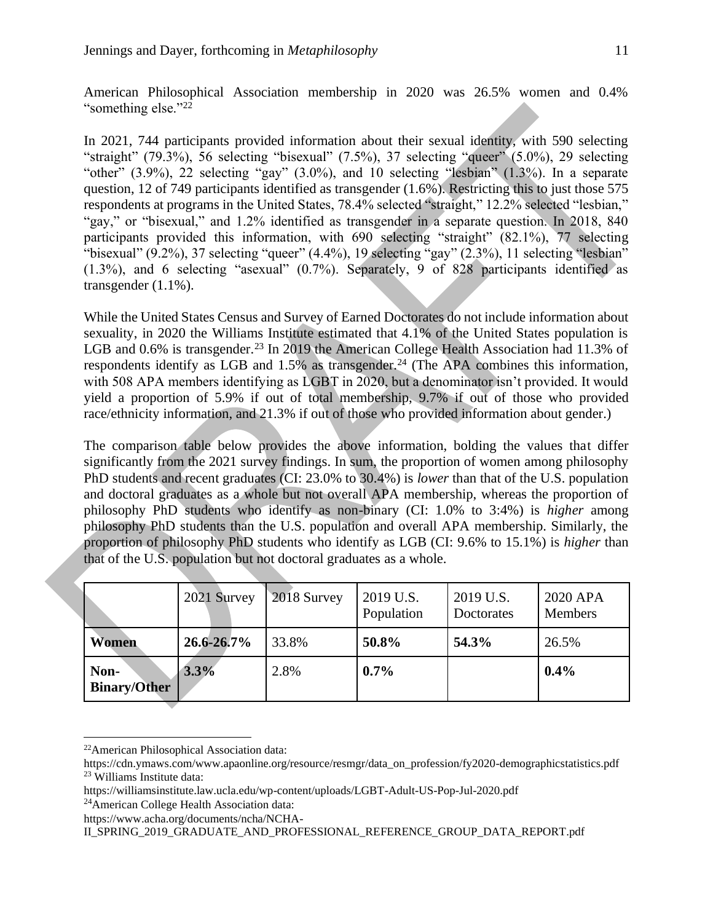American Philosophical Association membership in 2020 was 26.5% women and 0.4% "something else."<sup>22</sup>

In 2021, 744 participants provided information about their sexual identity, with 590 selecting "straight" (79.3%), 56 selecting "bisexual" (7.5%), 37 selecting "queer" (5.0%), 29 selecting "other"  $(3.9\%)$ , 22 selecting "gay"  $(3.0\%)$ , and 10 selecting "lesbian"  $(1.3\%)$ . In a separate question, 12 of 749 participants identified as transgender (1.6%). Restricting this to just those 575 respondents at programs in the United States, 78.4% selected "straight," 12.2% selected "lesbian," "gay," or "bisexual," and 1.2% identified as transgender in a separate question. In 2018, 840 participants provided this information, with 690 selecting "straight" (82.1%), 77 selecting "bisexual" (9.2%), 37 selecting "queer" (4.4%), 19 selecting "gay" (2.3%), 11 selecting "lesbian" (1.3%), and 6 selecting "asexual" (0.7%). Separately, 9 of 828 participants identified as transgender (1.1%).

While the United States Census and Survey of Earned Doctorates do not include information about sexuality, in 2020 the Williams Institute estimated that 4.1% of the United States population is LGB and 0.6% is transgender.<sup>23</sup> In 2019 the American College Health Association had 11.3% of respondents identify as LGB and  $1.5\%$  as transgender.<sup>24</sup> (The APA combines this information, with 508 APA members identifying as LGBT in 2020, but a denominator isn't provided. It would yield a proportion of 5.9% if out of total membership, 9.7% if out of those who provided race/ethnicity information, and 21.3% if out of those who provided information about gender.)

The comparison table below provides the above information, bolding the values that differ significantly from the 2021 survey findings. In sum, the proportion of women among philosophy PhD students and recent graduates (CI: 23.0% to 30.4%) is *lower* than that of the U.S. population and doctoral graduates as a whole but not overall APA membership, whereas the proportion of philosophy PhD students who identify as non-binary (CI: 1.0% to 3:4%) is *higher* among philosophy PhD students than the U.S. population and overall APA membership. Similarly, the proportion of philosophy PhD students who identify as LGB (CI: 9.6% to 15.1%) is *higher* than that of the U.S. population but not doctoral graduates as a whole.

|                             | 2021 Survey     | 2018 Survey | 2019 U.S.<br>Population | 2019 U.S.<br>Doctorates | 2020 APA<br><b>Members</b> |
|-----------------------------|-----------------|-------------|-------------------------|-------------------------|----------------------------|
| Women                       | $26.6 - 26.7\%$ | 33.8%       | 50.8%                   | 54.3%                   | 26.5%                      |
| Non-<br><b>Binary/Other</b> | 3.3%            | 2.8%        | 0.7%                    |                         | $0.4\%$                    |

<sup>22</sup>American Philosophical Association data:

https://www.acha.org/documents/ncha/NCHA-

II\_SPRING\_2019\_GRADUATE\_AND\_PROFESSIONAL\_REFERENCE\_GROUP\_DATA\_REPORT.pdf

https://cdn.ymaws.com/www.apaonline.org/resource/resmgr/data\_on\_profession/fy2020-demographicstatistics.pdf <sup>23</sup> Williams Institute data:

https://williamsinstitute.law.ucla.edu/wp-content/uploads/LGBT-Adult-US-Pop-Jul-2020.pdf <sup>24</sup>American College Health Association data: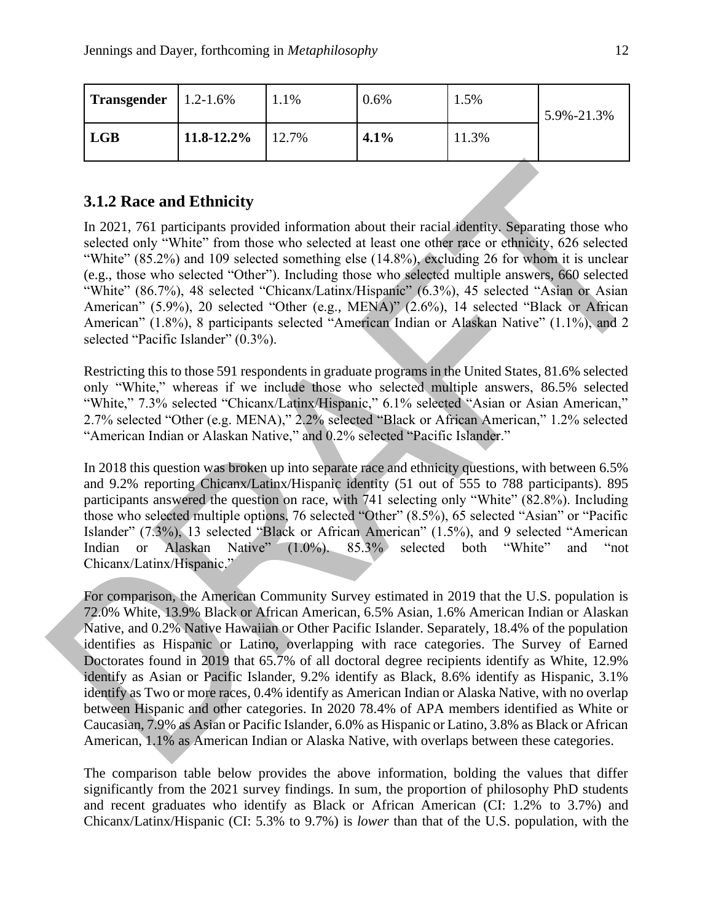| $\textsf{Transgender}$   1.2-1.6% |                 | 1.1%  | $0.6\%$ | 1.5%  | 5.9%-21.3% |
|-----------------------------------|-----------------|-------|---------|-------|------------|
| <b>LGB</b>                        | $11.8 - 12.2\%$ | 12.7% | 4.1%    | 11.3% |            |

#### **3.1.2 Race and Ethnicity**

In 2021, 761 participants provided information about their racial identity. Separating those who selected only "White" from those who selected at least one other race or ethnicity, 626 selected "White" (85.2%) and 109 selected something else (14.8%), excluding 26 for whom it is unclear (e.g., those who selected "Other"). Including those who selected multiple answers, 660 selected "White" (86.7%), 48 selected "Chicanx/Latinx/Hispanic" (6.3%), 45 selected "Asian or Asian American" (5.9%), 20 selected "Other (e.g., MENA)" (2.6%), 14 selected "Black or African American" (1.8%), 8 participants selected "American Indian or Alaskan Native" (1.1%), and 2 selected "Pacific Islander" (0.3%).

Restricting this to those 591 respondents in graduate programs in the United States, 81.6% selected only "White," whereas if we include those who selected multiple answers, 86.5% selected "White," 7.3% selected "Chicanx/Latinx/Hispanic," 6.1% selected "Asian or Asian American," 2.7% selected "Other (e.g. MENA)," 2.2% selected "Black or African American," 1.2% selected "American Indian or Alaskan Native," and 0.2% selected "Pacific Islander."

In 2018 this question was broken up into separate race and ethnicity questions, with between 6.5% and 9.2% reporting Chicanx/Latinx/Hispanic identity (51 out of 555 to 788 participants). 895 participants answered the question on race, with 741 selecting only "White" (82.8%). Including those who selected multiple options, 76 selected "Other" (8.5%), 65 selected "Asian" or "Pacific Islander" (7.3%), 13 selected "Black or African American" (1.5%), and 9 selected "American Indian or Alaskan Native" (1.0%). 85.3% selected both "White" and "not Chicanx/Latinx/Hispanic."

For comparison, the American Community Survey estimated in 2019 that the U.S. population is 72.0% White, 13.9% Black or African American, 6.5% Asian, 1.6% American Indian or Alaskan Native, and 0.2% Native Hawaiian or Other Pacific Islander. Separately, 18.4% of the population identifies as Hispanic or Latino, overlapping with race categories. The Survey of Earned Doctorates found in 2019 that 65.7% of all doctoral degree recipients identify as White, 12.9% identify as Asian or Pacific Islander, 9.2% identify as Black, 8.6% identify as Hispanic, 3.1% identify as Two or more races, 0.4% identify as American Indian or Alaska Native, with no overlap between Hispanic and other categories. In 2020 78.4% of APA members identified as White or Caucasian, 7.9% as Asian or Pacific Islander, 6.0% as Hispanic or Latino, 3.8% as Black or African American, 1.1% as American Indian or Alaska Native, with overlaps between these categories.

The comparison table below provides the above information, bolding the values that differ significantly from the 2021 survey findings. In sum, the proportion of philosophy PhD students and recent graduates who identify as Black or African American (CI: 1.2% to 3.7%) and Chicanx/Latinx/Hispanic (CI: 5.3% to 9.7%) is *lower* than that of the U.S. population, with the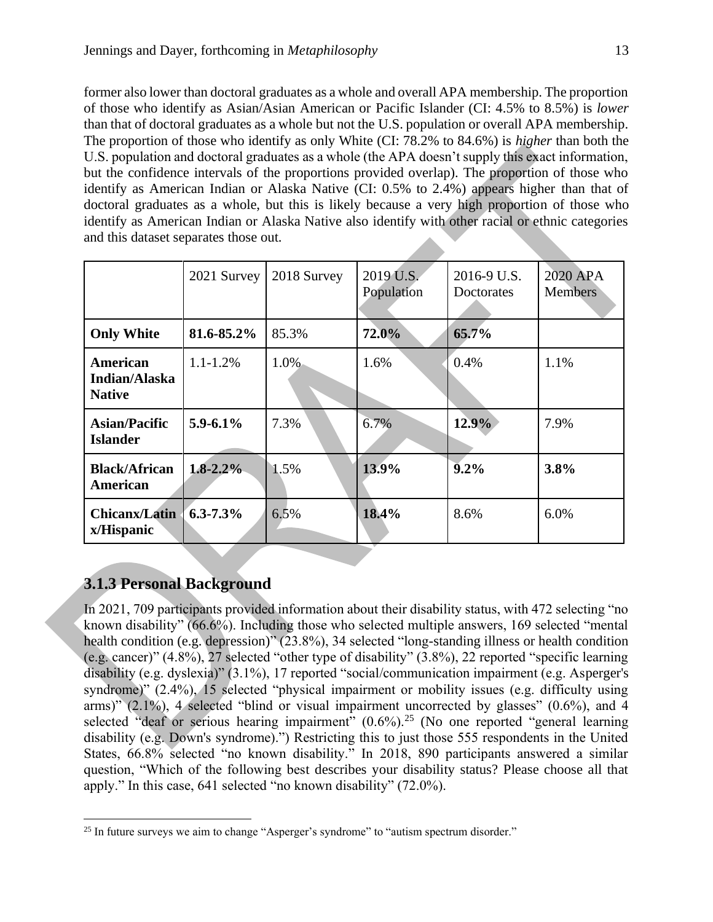former also lower than doctoral graduates as a whole and overall APA membership. The proportion of those who identify as Asian/Asian American or Pacific Islander (CI: 4.5% to 8.5%) is *lower* than that of doctoral graduates as a whole but not the U.S. population or overall APA membership. The proportion of those who identify as only White (CI: 78.2% to 84.6%) is *higher* than both the U.S. population and doctoral graduates as a whole (the APA doesn't supply this exact information, but the confidence intervals of the proportions provided overlap). The proportion of those who identify as American Indian or Alaska Native (CI: 0.5% to 2.4%) appears higher than that of doctoral graduates as a whole, but this is likely because a very high proportion of those who identify as American Indian or Alaska Native also identify with other racial or ethnic categories and this dataset separates those out.

|                                            | 2021 Survey   | 2018 Survey | 2019 U.S.<br>Population | 2016-9 U.S.<br>Doctorates | 2020 APA<br><b>Members</b> |
|--------------------------------------------|---------------|-------------|-------------------------|---------------------------|----------------------------|
| <b>Only White</b>                          | 81.6-85.2%    | 85.3%       | 72.0%                   | 65.7%                     |                            |
| American<br>Indian/Alaska<br><b>Native</b> | $1.1 - 1.2\%$ | 1.0%        | 1.6%                    | 0.4%                      | 1.1%                       |
| <b>Asian/Pacific</b><br><b>Islander</b>    | $5.9 - 6.1\%$ | 7.3%        | 6.7%                    | 12.9%                     | 7.9%                       |
| <b>Black/African</b><br>American           | $1.8 - 2.2\%$ | 1.5%        | 13.9%                   | $9.2\%$                   | 3.8%                       |
| <b>Chicanx/Latin</b><br>x/Hispanic         | $6.3 - 7.3\%$ | 6.5%        | 18.4%                   | 8.6%                      | 6.0%                       |

## **3.1.3 Personal Background**

In 2021, 709 participants provided information about their disability status, with 472 selecting "no known disability" (66.6%). Including those who selected multiple answers, 169 selected "mental health condition (e.g. depression)" (23.8%), 34 selected "long-standing illness or health condition (e.g. cancer)" (4.8%), 27 selected "other type of disability" (3.8%), 22 reported "specific learning disability (e.g. dyslexia)" (3.1%), 17 reported "social/communication impairment (e.g. Asperger's syndrome)" (2.4%), 15 selected "physical impairment or mobility issues (e.g. difficulty using arms)"  $(2.1\%)$ , 4 selected "blind or visual impairment uncorrected by glasses"  $(0.6\%)$ , and 4 selected "deaf or serious hearing impairment"  $(0.6\%)$ .<sup>25</sup> (No one reported "general learning disability (e.g. Down's syndrome).") Restricting this to just those 555 respondents in the United States, 66.8% selected "no known disability." In 2018, 890 participants answered a similar question, "Which of the following best describes your disability status? Please choose all that apply." In this case, 641 selected "no known disability" (72.0%).

 $25$  In future surveys we aim to change "Asperger's syndrome" to "autism spectrum disorder."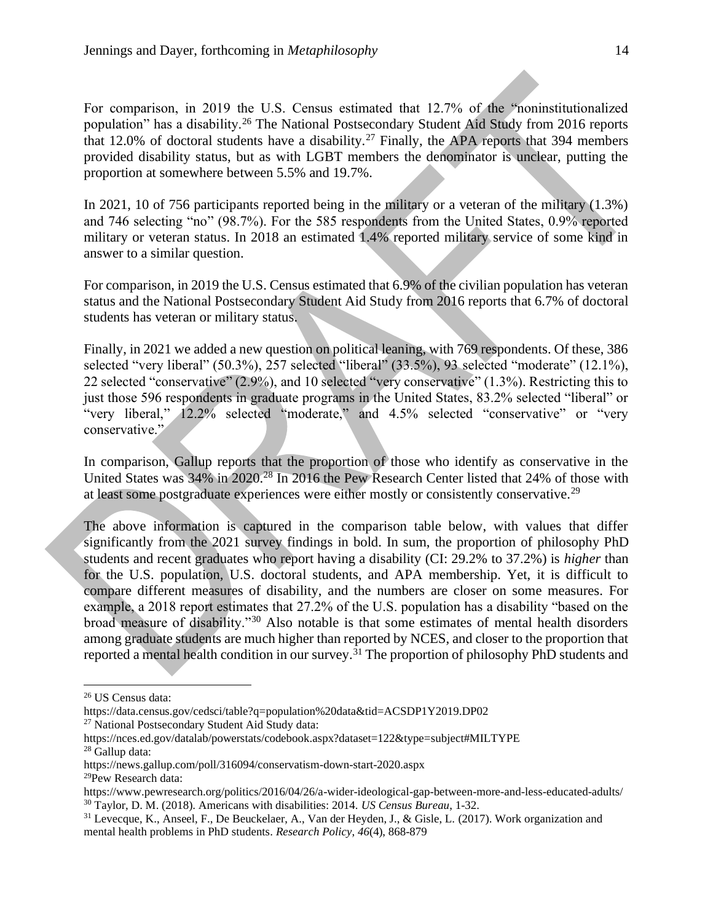For comparison, in 2019 the U.S. Census estimated that 12.7% of the "noninstitutionalized population" has a disability.<sup>26</sup> The National Postsecondary Student Aid Study from 2016 reports that 12.0% of doctoral students have a disability.<sup>27</sup> Finally, the APA reports that 394 members provided disability status, but as with LGBT members the denominator is unclear, putting the proportion at somewhere between 5.5% and 19.7%.

In 2021, 10 of 756 participants reported being in the military or a veteran of the military (1.3%) and 746 selecting "no" (98.7%). For the 585 respondents from the United States, 0.9% reported military or veteran status. In 2018 an estimated 1.4% reported military service of some kind in answer to a similar question.

For comparison, in 2019 the U.S. Census estimated that 6.9% of the civilian population has veteran status and the National Postsecondary Student Aid Study from 2016 reports that 6.7% of doctoral students has veteran or military status.

Finally, in 2021 we added a new question on political leaning, with 769 respondents. Of these, 386 selected "very liberal" (50.3%), 257 selected "liberal" (33.5%), 93 selected "moderate" (12.1%), 22 selected "conservative" (2.9%), and 10 selected "very conservative" (1.3%). Restricting this to just those 596 respondents in graduate programs in the United States, 83.2% selected "liberal" or "very liberal," 12.2% selected "moderate," and 4.5% selected "conservative" or "very conservative."

In comparison, Gallup reports that the proportion of those who identify as conservative in the United States was 34% in 2020.<sup>28</sup> In 2016 the Pew Research Center listed that 24% of those with at least some postgraduate experiences were either mostly or consistently conservative.<sup>29</sup>

The above information is captured in the comparison table below, with values that differ significantly from the 2021 survey findings in bold. In sum, the proportion of philosophy PhD students and recent graduates who report having a disability (CI: 29.2% to 37.2%) is *higher* than for the U.S. population, U.S. doctoral students, and APA membership. Yet, it is difficult to compare different measures of disability, and the numbers are closer on some measures. For example, a 2018 report estimates that 27.2% of the U.S. population has a disability "based on the broad measure of disability."<sup>30</sup> Also notable is that some estimates of mental health disorders among graduate students are much higher than reported by NCES, and closer to the proportion that reported a mental health condition in our survey.<sup>31</sup> The proportion of philosophy PhD students and

<sup>26</sup> US Census data:

https://data.census.gov/cedsci/table?q=population%20data&tid=ACSDP1Y2019.DP02

<sup>&</sup>lt;sup>27</sup> National Postsecondary Student Aid Study data:

https://nces.ed.gov/datalab/powerstats/codebook.aspx?dataset=122&type=subject#MILTYPE <sup>28</sup> Gallup data:

https://news.gallup.com/poll/316094/conservatism-down-start-2020.aspx <sup>29</sup>Pew Research data:

https://www.pewresearch.org/politics/2016/04/26/a-wider-ideological-gap-between-more-and-less-educated-adults/ <sup>30</sup> Taylor, D. M. (2018). Americans with disabilities: 2014. *US Census Bureau*, 1-32.

<sup>31</sup> Levecque, K., Anseel, F., De Beuckelaer, A., Van der Heyden, J., & Gisle, L. (2017). Work organization and mental health problems in PhD students. *Research Policy*, *46*(4), 868-879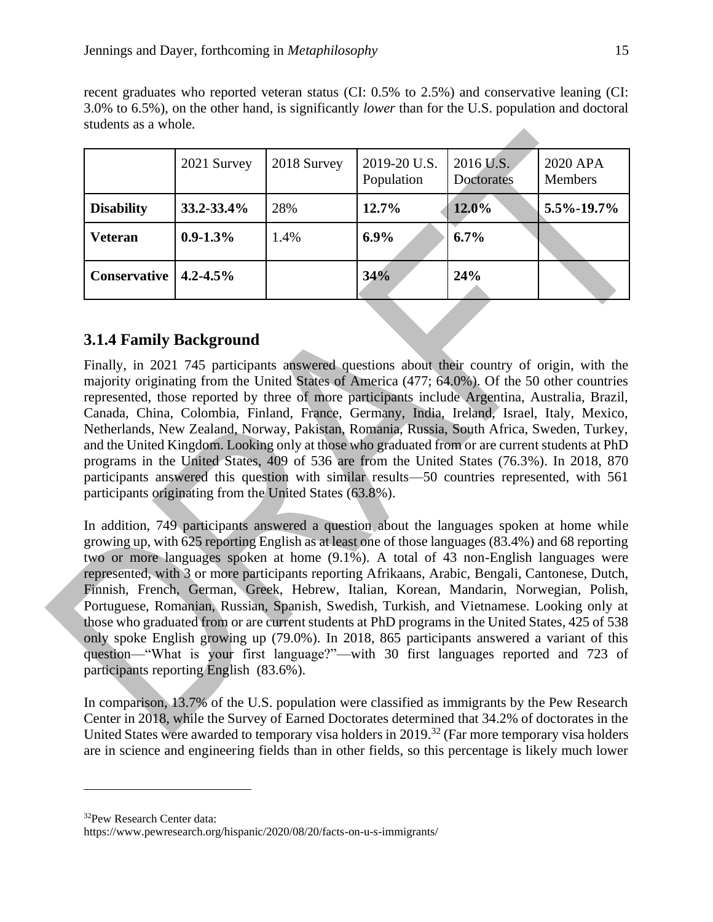| students as a whole. |                 |             |                            |                         |                     |
|----------------------|-----------------|-------------|----------------------------|-------------------------|---------------------|
|                      | 2021 Survey     | 2018 Survey | 2019-20 U.S.<br>Population | 2016 U.S.<br>Doctorates | 2020 APA<br>Members |
| <b>Disability</b>    | $33.2 - 33.4\%$ | 28%         | 12.7%                      | $12.0\%$                | $5.5\% - 19.7\%$    |

**Veteran 0.9-1.3%** 1.4% **6.9% 6.7%**

**Conservative 4.2-4.5% 34% 24%**

recent graduates who reported veteran status (CI: 0.5% to 2.5%) and conservative leaning (CI: 3.0% to 6.5%), on the other hand, is significantly *lower* than for the U.S. population and doctoral

## **3.1.4 Family Background**

Finally, in 2021 745 participants answered questions about their country of origin, with the majority originating from the United States of America (477; 64.0%). Of the 50 other countries represented, those reported by three of more participants include Argentina, Australia, Brazil, Canada, China, Colombia, Finland, France, Germany, India, Ireland, Israel, Italy, Mexico, Netherlands, New Zealand, Norway, Pakistan, Romania, Russia, South Africa, Sweden, Turkey, and the United Kingdom. Looking only at those who graduated from or are current students at PhD programs in the United States, 409 of 536 are from the United States (76.3%). In 2018, 870 participants answered this question with similar results—50 countries represented, with 561 participants originating from the United States (63.8%).

In addition, 749 participants answered a question about the languages spoken at home while growing up, with 625 reporting English as at least one of those languages (83.4%) and 68 reporting two or more languages spoken at home (9.1%). A total of 43 non-English languages were represented, with 3 or more participants reporting Afrikaans, Arabic, Bengali, Cantonese, Dutch, Finnish, French, German, Greek, Hebrew, Italian, Korean, Mandarin, Norwegian, Polish, Portuguese, Romanian, Russian, Spanish, Swedish, Turkish, and Vietnamese. Looking only at those who graduated from or are current students at PhD programs in the United States, 425 of 538 only spoke English growing up (79.0%). In 2018, 865 participants answered a variant of this question—"What is your first language?"—with 30 first languages reported and 723 of participants reporting English (83.6%).

In comparison, 13.7% of the U.S. population were classified as immigrants by the Pew Research Center in 2018, while the Survey of Earned Doctorates determined that 34.2% of doctorates in the United States were awarded to temporary visa holders in 2019.<sup>32</sup> (Far more temporary visa holders are in science and engineering fields than in other fields, so this percentage is likely much lower

<sup>32</sup>Pew Research Center data:

https://www.pewresearch.org/hispanic/2020/08/20/facts-on-u-s-immigrants/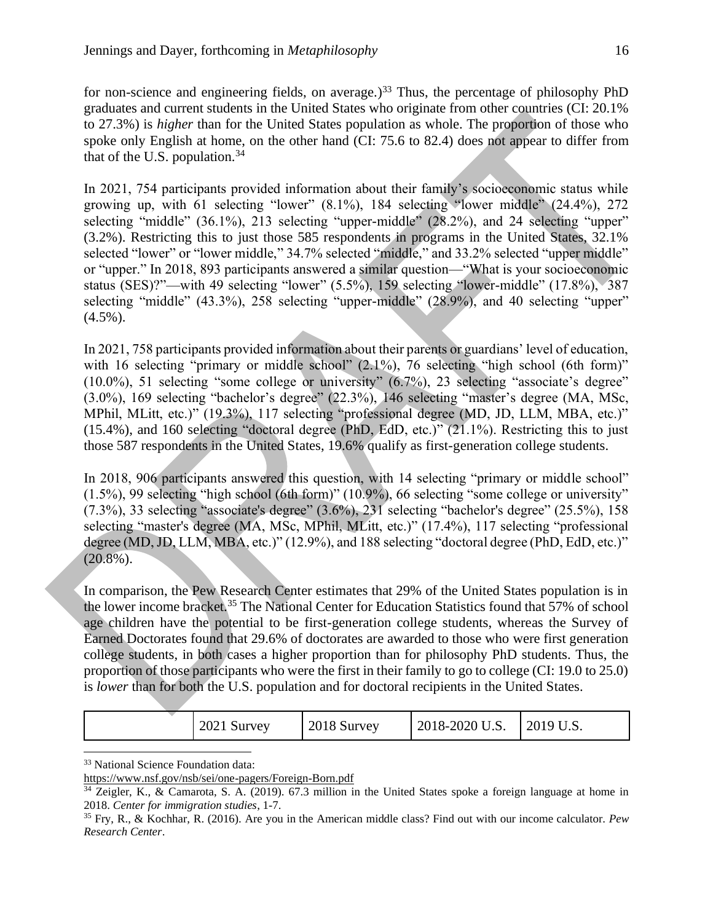for non-science and engineering fields, on average.)<sup>33</sup> Thus, the percentage of philosophy PhD graduates and current students in the United States who originate from other countries (CI: 20.1% to 27.3%) is *higher* than for the United States population as whole. The proportion of those who spoke only English at home, on the other hand (CI: 75.6 to 82.4) does not appear to differ from that of the U.S. population. $34$ 

In 2021, 754 participants provided information about their family's socioeconomic status while growing up, with 61 selecting "lower" (8.1%), 184 selecting "lower middle" (24.4%), 272 selecting "middle" (36.1%), 213 selecting "upper-middle" (28.2%), and 24 selecting "upper" (3.2%). Restricting this to just those 585 respondents in programs in the United States, 32.1% selected "lower" or "lower middle," 34.7% selected "middle," and 33.2% selected "upper middle" or "upper." In 2018, 893 participants answered a similar question—"What is your socioeconomic status (SES)?"—with 49 selecting "lower" (5.5%), 159 selecting "lower-middle" (17.8%), 387 selecting "middle" (43.3%), 258 selecting "upper-middle" (28.9%), and 40 selecting "upper"  $(4.5\%)$ .

In 2021, 758 participants provided information about their parents or guardians' level of education, with 16 selecting "primary or middle school" (2.1%), 76 selecting "high school (6th form)" (10.0%), 51 selecting "some college or university" (6.7%), 23 selecting "associate's degree" (3.0%), 169 selecting "bachelor's degree" (22.3%), 146 selecting "master's degree (MA, MSc, MPhil, MLitt, etc.)" (19.3%), 117 selecting "professional degree (MD, JD, LLM, MBA, etc.)" (15.4%), and 160 selecting "doctoral degree (PhD, EdD, etc.)" (21.1%). Restricting this to just those 587 respondents in the United States, 19.6% qualify as first-generation college students.

In 2018, 906 participants answered this question, with 14 selecting "primary or middle school" (1.5%), 99 selecting "high school (6th form)" (10.9%), 66 selecting "some college or university" (7.3%), 33 selecting "associate's degree" (3.6%), 231 selecting "bachelor's degree" (25.5%), 158 selecting "master's degree (MA, MSc, MPhil, MLitt, etc.)" (17.4%), 117 selecting "professional degree (MD, JD, LLM, MBA, etc.)" (12.9%), and 188 selecting "doctoral degree (PhD, EdD, etc.)"  $(20.8\%)$ .

In comparison, the Pew Research Center estimates that 29% of the United States population is in the lower income bracket.<sup>35</sup> The National Center for Education Statistics found that 57% of school age children have the potential to be first-generation college students, whereas the Survey of Earned Doctorates found that 29.6% of doctorates are awarded to those who were first generation college students, in both cases a higher proportion than for philosophy PhD students. Thus, the proportion of those participants who were the first in their family to go to college (CI: 19.0 to 25.0) is *lower* than for both the U.S. population and for doctoral recipients in the United States.

| 2021 Survey<br>2018-2020 U.S.<br>2018 Survey<br>$-2019$ U $\sim$<br>∪.∪. |
|--------------------------------------------------------------------------|
|--------------------------------------------------------------------------|

<sup>33</sup> National Science Foundation data:

<https://www.nsf.gov/nsb/sei/one-pagers/Foreign-Born.pdf>

<sup>34</sup> Zeigler, K., & Camarota, S. A. (2019). 67.3 million in the United States spoke a foreign language at home in 2018. *Center for immigration studies*, 1-7.

<sup>35</sup> Fry, R., & Kochhar, R. (2016). Are you in the American middle class? Find out with our income calculator. *Pew Research Center*.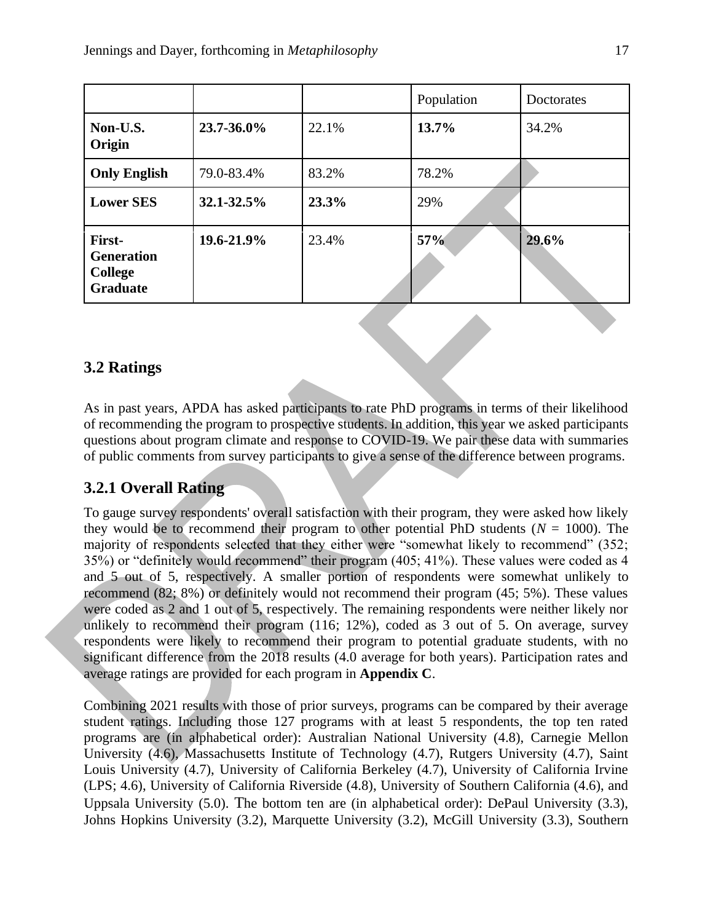|                                                                  |            |       | Population | Doctorates |
|------------------------------------------------------------------|------------|-------|------------|------------|
| Non-U.S.<br>Origin                                               | 23.7-36.0% | 22.1% | 13.7%      | 34.2%      |
| <b>Only English</b>                                              | 79.0-83.4% | 83.2% | 78.2%      |            |
| <b>Lower SES</b>                                                 | 32.1-32.5% | 23.3% | 29%        |            |
| First-<br><b>Generation</b><br><b>College</b><br><b>Graduate</b> | 19.6-21.9% | 23.4% | 57%        | 29.6%      |

#### **3.2 Ratings**

As in past years, APDA has asked participants to rate PhD programs in terms of their likelihood of recommending the program to prospective students. In addition, this year we asked participants questions about program climate and response to COVID-19. We pair these data with summaries of public comments from survey participants to give a sense of the difference between programs.

## **3.2.1 Overall Rating**

To gauge survey respondents' overall satisfaction with their program, they were asked how likely they would be to recommend their program to other potential PhD students ( $N = 1000$ ). The majority of respondents selected that they either were "somewhat likely to recommend" (352; 35%) or "definitely would recommend" their program (405; 41%). These values were coded as 4 and 5 out of 5, respectively. A smaller portion of respondents were somewhat unlikely to recommend (82; 8%) or definitely would not recommend their program (45; 5%). These values were coded as 2 and 1 out of 5, respectively. The remaining respondents were neither likely nor unlikely to recommend their program (116; 12%), coded as 3 out of 5. On average, survey respondents were likely to recommend their program to potential graduate students, with no significant difference from the 2018 results (4.0 average for both years). Participation rates and average ratings are provided for each program in **Appendix C**.

Combining 2021 results with those of prior surveys, programs can be compared by their average student ratings. Including those 127 programs with at least 5 respondents, the top ten rated programs are (in alphabetical order): Australian National University (4.8), Carnegie Mellon University (4.6), Massachusetts Institute of Technology (4.7), Rutgers University (4.7), Saint Louis University (4.7), University of California Berkeley (4.7), University of California Irvine (LPS; 4.6), University of California Riverside (4.8), University of Southern California (4.6), and Uppsala University (5.0). The bottom ten are (in alphabetical order): DePaul University (3.3), Johns Hopkins University (3.2), Marquette University (3.2), McGill University (3.3), Southern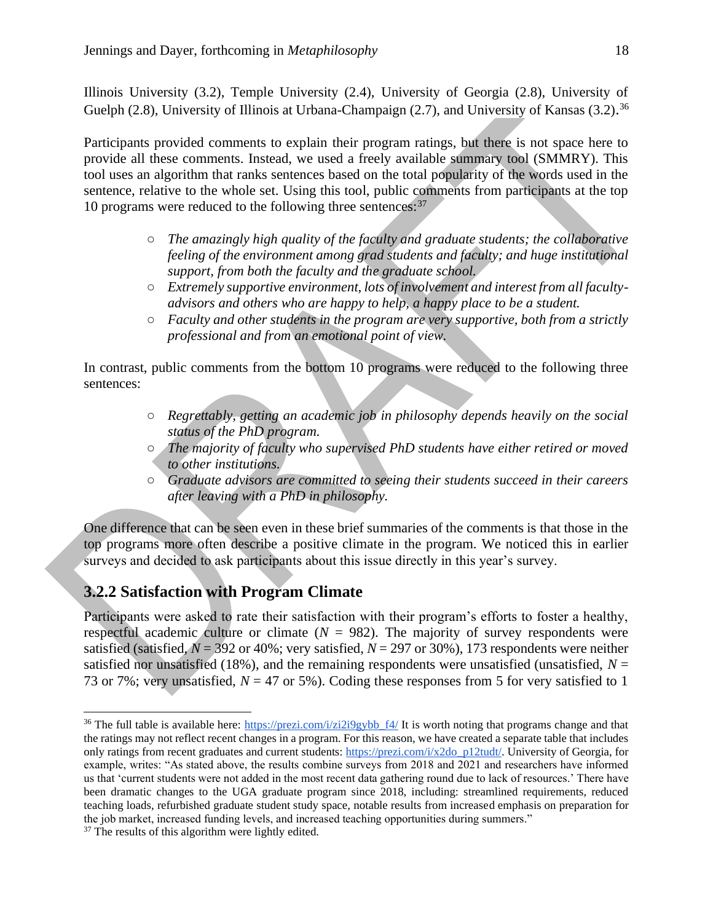Illinois University (3.2), Temple University (2.4), University of Georgia (2.8), University of Guelph (2.8), University of Illinois at Urbana-Champaign (2.7), and University of Kansas (3.2).<sup>36</sup>

Participants provided comments to explain their program ratings, but there is not space here to provide all these comments. Instead, we used a freely available summary tool (SMMRY). This tool uses an algorithm that ranks sentences based on the total popularity of the words used in the sentence, relative to the whole set. Using this tool, public comments from participants at the top 10 programs were reduced to the following three sentences:<sup>37</sup>

- *The amazingly high quality of the faculty and graduate students; the collaborative feeling of the environment among grad students and faculty; and huge institutional support, from both the faculty and the graduate school.*
- *Extremely supportive environment, lots of involvement and interest from all facultyadvisors and others who are happy to help, a happy place to be a student.*
- *Faculty and other students in the program are very supportive, both from a strictly professional and from an emotional point of view.*

In contrast, public comments from the bottom 10 programs were reduced to the following three sentences:

- *Regrettably, getting an academic job in philosophy depends heavily on the social status of the PhD program.*
- *The majority of faculty who supervised PhD students have either retired or moved to other institutions.*
- *Graduate advisors are committed to seeing their students succeed in their careers after leaving with a PhD in philosophy.*

One difference that can be seen even in these brief summaries of the comments is that those in the top programs more often describe a positive climate in the program. We noticed this in earlier surveys and decided to ask participants about this issue directly in this year's survey.

#### **3.2.2 Satisfaction with Program Climate**

Participants were asked to rate their satisfaction with their program's efforts to foster a healthy, respectful academic culture or climate  $(N = 982)$ . The majority of survey respondents were satisfied (satisfied,  $N = 392$  or 40%; very satisfied,  $N = 297$  or 30%), 173 respondents were neither satisfied nor unsatisfied (18%), and the remaining respondents were unsatisfied (unsatisfied,  $N =$ 73 or 7%; very unsatisfied,  $N = 47$  or 5%). Coding these responses from 5 for very satisfied to 1

<sup>&</sup>lt;sup>36</sup> The full table is available here: [https://prezi.com/i/zi2i9gybb\\_f4/](https://prezi.com/i/zi2i9gybb_f4/) It is worth noting that programs change and that the ratings may not reflect recent changes in a program. For this reason, we have created a separate table that includes only ratings from recent graduates and current students: [https://prezi.com/i/x2do\\_p12tudt/.](https://prezi.com/i/x2do_p12tudt/) University of Georgia, for example, writes: "As stated above, the results combine surveys from 2018 and 2021 and researchers have informed us that 'current students were not added in the most recent data gathering round due to lack of resources.' There have been dramatic changes to the UGA graduate program since 2018, including: streamlined requirements, reduced teaching loads, refurbished graduate student study space, notable results from increased emphasis on preparation for the job market, increased funding levels, and increased teaching opportunities during summers."

<sup>&</sup>lt;sup>37</sup> The results of this algorithm were lightly edited.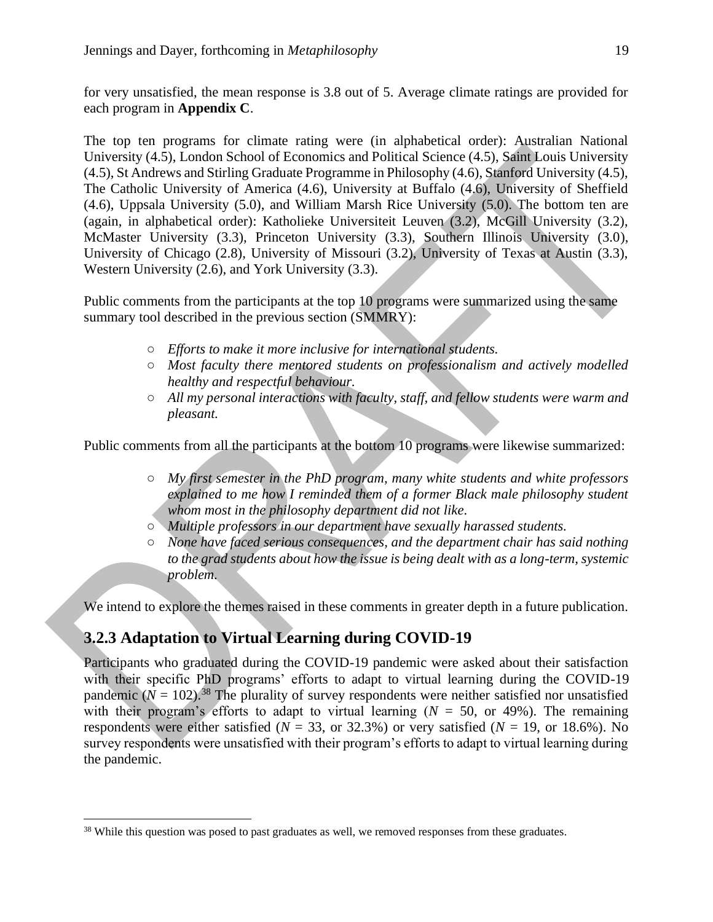for very unsatisfied, the mean response is 3.8 out of 5. Average climate ratings are provided for each program in **Appendix C**.

The top ten programs for climate rating were (in alphabetical order): Australian National University (4.5), London School of Economics and Political Science (4.5), Saint Louis University (4.5), St Andrews and Stirling Graduate Programme in Philosophy (4.6), Stanford University (4.5), The Catholic University of America (4.6), University at Buffalo (4.6), University of Sheffield (4.6), Uppsala University (5.0), and William Marsh Rice University (5.0). The bottom ten are (again, in alphabetical order): Katholieke Universiteit Leuven (3.2), McGill University (3.2), McMaster University (3.3), Princeton University (3.3), Southern Illinois University (3.0), University of Chicago (2.8), University of Missouri (3.2), University of Texas at Austin (3.3), Western University (2.6), and York University (3.3).

Public comments from the participants at the top 10 programs were summarized using the same summary tool described in the previous section (SMMRY):

- *Efforts to make it more inclusive for international students.*
- *Most faculty there mentored students on professionalism and actively modelled healthy and respectful behaviour.*
- *All my personal interactions with faculty, staff, and fellow students were warm and pleasant.*

Public comments from all the participants at the bottom 10 programs were likewise summarized:

- *My first semester in the PhD program, many white students and white professors explained to me how I reminded them of a former Black male philosophy student whom most in the philosophy department did not like.*
- *Multiple professors in our department have sexually harassed students.*
- *None have faced serious consequences, and the department chair has said nothing to the grad students about how the issue is being dealt with as a long-term, systemic problem.*

We intend to explore the themes raised in these comments in greater depth in a future publication.

#### **3.2.3 Adaptation to Virtual Learning during COVID-19**

Participants who graduated during the COVID-19 pandemic were asked about their satisfaction with their specific PhD programs' efforts to adapt to virtual learning during the COVID-19 pandemic  $(N = 102)^{38}$  The plurality of survey respondents were neither satisfied nor unsatisfied with their program's efforts to adapt to virtual learning  $(N = 50, \text{ or } 49\%)$ . The remaining respondents were either satisfied ( $N = 33$ , or 32.3%) or very satisfied ( $N = 19$ , or 18.6%). No survey respondents were unsatisfied with their program's efforts to adapt to virtual learning during the pandemic.

<sup>&</sup>lt;sup>38</sup> While this question was posed to past graduates as well, we removed responses from these graduates.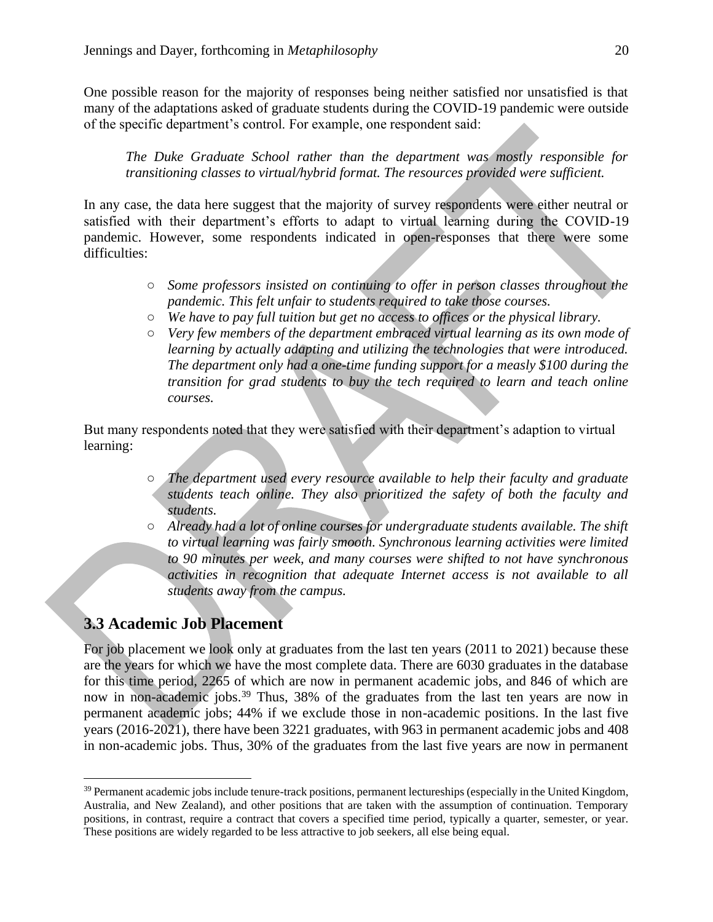One possible reason for the majority of responses being neither satisfied nor unsatisfied is that many of the adaptations asked of graduate students during the COVID-19 pandemic were outside of the specific department's control. For example, one respondent said:

*The Duke Graduate School rather than the department was mostly responsible for transitioning classes to virtual/hybrid format. The resources provided were sufficient.*

In any case, the data here suggest that the majority of survey respondents were either neutral or satisfied with their department's efforts to adapt to virtual learning during the COVID-19 pandemic. However, some respondents indicated in open-responses that there were some difficulties:

- *Some professors insisted on continuing to offer in person classes throughout the pandemic. This felt unfair to students required to take those courses.*
- *We have to pay full tuition but get no access to offices or the physical library.*
- *Very few members of the department embraced virtual learning as its own mode of learning by actually adapting and utilizing the technologies that were introduced. The department only had a one-time funding support for a measly \$100 during the transition for grad students to buy the tech required to learn and teach online courses.*

But many respondents noted that they were satisfied with their department's adaption to virtual learning:

- *The department used every resource available to help their faculty and graduate students teach online. They also prioritized the safety of both the faculty and students.*
- *Already had a lot of online courses for undergraduate students available. The shift to virtual learning was fairly smooth. Synchronous learning activities were limited to 90 minutes per week, and many courses were shifted to not have synchronous activities in recognition that adequate Internet access is not available to all students away from the campus.*

## **3.3 Academic Job Placement**

For job placement we look only at graduates from the last ten years (2011 to 2021) because these are the years for which we have the most complete data. There are 6030 graduates in the database for this time period, 2265 of which are now in permanent academic jobs, and 846 of which are now in non-academic jobs.<sup>39</sup> Thus, 38% of the graduates from the last ten years are now in permanent academic jobs; 44% if we exclude those in non-academic positions. In the last five years (2016-2021), there have been 3221 graduates, with 963 in permanent academic jobs and 408 in non-academic jobs. Thus, 30% of the graduates from the last five years are now in permanent

<sup>&</sup>lt;sup>39</sup> Permanent academic jobs include tenure-track positions, permanent lectureships (especially in the United Kingdom, Australia, and New Zealand), and other positions that are taken with the assumption of continuation. Temporary positions, in contrast, require a contract that covers a specified time period, typically a quarter, semester, or year. These positions are widely regarded to be less attractive to job seekers, all else being equal.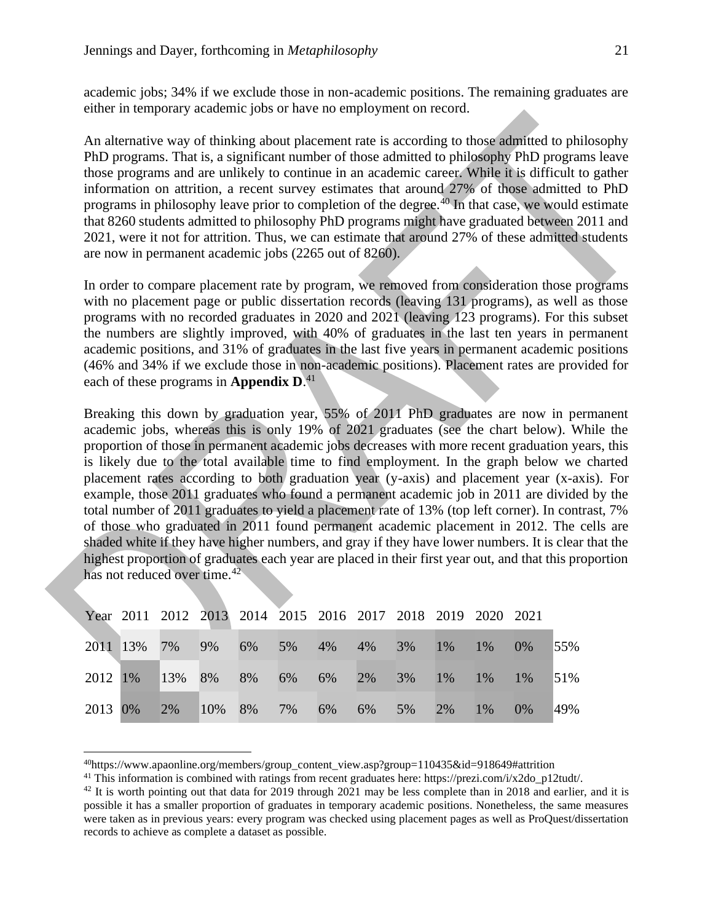academic jobs; 34% if we exclude those in non-academic positions. The remaining graduates are either in temporary academic jobs or have no employment on record.

An alternative way of thinking about placement rate is according to those admitted to philosophy PhD programs. That is, a significant number of those admitted to philosophy PhD programs leave those programs and are unlikely to continue in an academic career. While it is difficult to gather information on attrition, a recent survey estimates that around 27% of those admitted to PhD programs in philosophy leave prior to completion of the degree.<sup>40</sup> In that case, we would estimate that 8260 students admitted to philosophy PhD programs might have graduated between 2011 and 2021, were it not for attrition. Thus, we can estimate that around 27% of these admitted students are now in permanent academic jobs (2265 out of 8260).

In order to compare placement rate by program, we removed from consideration those programs with no placement page or public dissertation records (leaving 131 programs), as well as those programs with no recorded graduates in 2020 and 2021 (leaving 123 programs). For this subset the numbers are slightly improved, with 40% of graduates in the last ten years in permanent academic positions, and 31% of graduates in the last five years in permanent academic positions (46% and 34% if we exclude those in non-academic positions). Placement rates are provided for each of these programs in **Appendix D**. 41

Breaking this down by graduation year, 55% of 2011 PhD graduates are now in permanent academic jobs, whereas this is only 19% of 2021 graduates (see the chart below). While the proportion of those in permanent academic jobs decreases with more recent graduation years, this is likely due to the total available time to find employment. In the graph below we charted placement rates according to both graduation year (y-axis) and placement year (x-axis). For example, those 2011 graduates who found a permanent academic job in 2011 are divided by the total number of 2011 graduates to yield a placement rate of 13% (top left corner). In contrast, 7% of those who graduated in 2011 found permanent academic placement in 2012. The cells are shaded white if they have higher numbers, and gray if they have lower numbers. It is clear that the highest proportion of graduates each year are placed in their first year out, and that this proportion has not reduced over time.<sup>42</sup>

| Year 2011 2012 2013 2014 2015 2016 2017 2018 2019 2020 2021 |  |  |  |  |  |     |
|-------------------------------------------------------------|--|--|--|--|--|-----|
| 2011 13% 7% 9% 6% 5% 4% 4% 3% 1% 1% 0%                      |  |  |  |  |  | 55% |
| 2012 1% 13% 8% 8% 6% 6% 2% 3% 1% 1% 1%                      |  |  |  |  |  | 51% |
| 2013 0% 2% 10% 8% 7% 6% 6% 5% 2% 1% 0%                      |  |  |  |  |  | 49% |

<sup>40</sup>https://www.apaonline.org/members/group\_content\_view.asp?group=110435&id=918649#attrition

<sup>41</sup> This information is combined with ratings from recent graduates here: https://prezi.com/i/x2do\_p12tudt/.

 $^{42}$  It is worth pointing out that data for 2019 through 2021 may be less complete than in 2018 and earlier, and it is possible it has a smaller proportion of graduates in temporary academic positions. Nonetheless, the same measures were taken as in previous years: every program was checked using placement pages as well as ProQuest/dissertation records to achieve as complete a dataset as possible.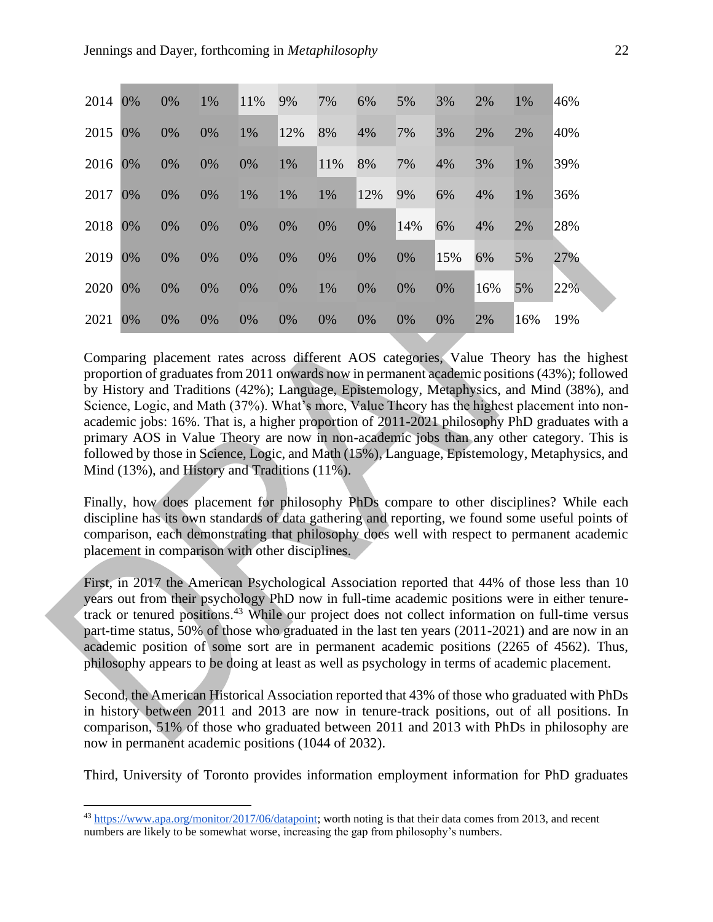| 2014 | $0\%$ | 0% | 1% | 11% | 9%  | 7%  | 6%  | 5%  | 3%  | 2%  | 1%  | 46% |
|------|-------|----|----|-----|-----|-----|-----|-----|-----|-----|-----|-----|
| 2015 | $0\%$ | 0% | 0% | 1%  | 12% | 8%  | 4%  | 7%  | 3%  | 2%  | 2%  | 40% |
| 2016 | $0\%$ | 0% | 0% | 0%  | 1%  | 11% | 8%  | 7%  | 4%  | 3%  | 1%  | 39% |
| 2017 | 0%    | 0% | 0% | 1%  | 1%  | 1%  | 12% | 9%  | 6%  | 4%  | 1%  | 36% |
| 2018 | $0\%$ | 0% | 0% | 0%  | 0%  | 0%  | 0%  | 14% | 6%  | 4%  | 2%  | 28% |
| 2019 | 0%    | 0% | 0% | 0%  | 0%  | 0%  | 0%  | 0%  | 15% | 6%  | 5%  | 27% |
| 2020 | 0%    | 0% | 0% | 0%  | 0%  | 1%  | 0%  | 0%  | 0%  | 16% | 5%  | 22% |
| 2021 | 0%    | 0% | 0% | 0%  | 0%  | 0%  | 0%  | 0%  | 0%  | 2%  | 16% | 19% |

Comparing placement rates across different AOS categories, Value Theory has the highest proportion of graduates from 2011 onwards now in permanent academic positions (43%); followed by History and Traditions (42%); Language, Epistemology, Metaphysics, and Mind (38%), and Science, Logic, and Math (37%). What's more, Value Theory has the highest placement into nonacademic jobs: 16%. That is, a higher proportion of 2011-2021 philosophy PhD graduates with a primary AOS in Value Theory are now in non-academic jobs than any other category. This is followed by those in Science, Logic, and Math (15%), Language, Epistemology, Metaphysics, and Mind (13%), and History and Traditions (11%).

Finally, how does placement for philosophy PhDs compare to other disciplines? While each discipline has its own standards of data gathering and reporting, we found some useful points of comparison, each demonstrating that philosophy does well with respect to permanent academic placement in comparison with other disciplines.

First, in 2017 the American Psychological Association reported that 44% of those less than 10 years out from their psychology PhD now in full-time academic positions were in either tenuretrack or tenured positions.<sup>43</sup> While our project does not collect information on full-time versus part-time status, 50% of those who graduated in the last ten years (2011-2021) and are now in an academic position of some sort are in permanent academic positions (2265 of 4562). Thus, philosophy appears to be doing at least as well as psychology in terms of academic placement.

Second, the American Historical Association reported that 43% of those who graduated with PhDs in history between 2011 and 2013 are now in tenure-track positions, out of all positions. In comparison, 51% of those who graduated between 2011 and 2013 with PhDs in philosophy are now in permanent academic positions (1044 of 2032).

Third, University of Toronto provides information employment information for PhD graduates

<sup>43</sup> [https://www.apa.org/monitor/2017/06/datapoint;](https://www.apa.org/monitor/2017/06/datapoint) worth noting is that their data comes from 2013, and recent numbers are likely to be somewhat worse, increasing the gap from philosophy's numbers.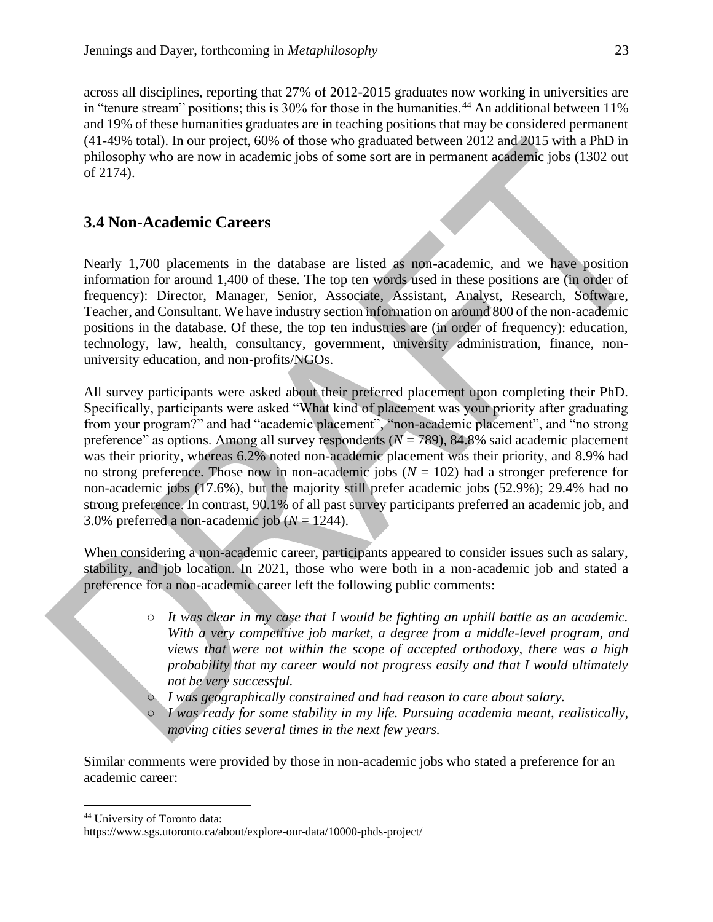across all disciplines, reporting that 27% of 2012-2015 graduates now working in universities are in "tenure stream" positions; this is 30% for those in the humanities.<sup>44</sup> An additional between 11% and 19% of these humanities graduates are in teaching positions that may be considered permanent (41-49% total). In our project, 60% of those who graduated between 2012 and 2015 with a PhD in philosophy who are now in academic jobs of some sort are in permanent academic jobs (1302 out of 2174).

#### **3.4 Non-Academic Careers**

Nearly 1,700 placements in the database are listed as non-academic, and we have position information for around 1,400 of these. The top ten words used in these positions are (in order of frequency): Director, Manager, Senior, Associate, Assistant, Analyst, Research, Software, Teacher, and Consultant. We have industry section information on around 800 of the non-academic positions in the database. Of these, the top ten industries are (in order of frequency): education, technology, law, health, consultancy, government, university administration, finance, nonuniversity education, and non-profits/NGOs.

All survey participants were asked about their preferred placement upon completing their PhD. Specifically, participants were asked "What kind of placement was your priority after graduating from your program?" and had "academic placement", "non-academic placement", and "no strong preference" as options. Among all survey respondents (*N* = 789), 84.8% said academic placement was their priority, whereas 6.2% noted non-academic placement was their priority, and 8.9% had no strong preference. Those now in non-academic jobs  $(N = 102)$  had a stronger preference for non-academic jobs (17.6%), but the majority still prefer academic jobs (52.9%); 29.4% had no strong preference. In contrast, 90.1% of all past survey participants preferred an academic job, and 3.0% preferred a non-academic job  $(N = 1244)$ .

When considering a non-academic career, participants appeared to consider issues such as salary, stability, and job location. In 2021, those who were both in a non-academic job and stated a preference for a non-academic career left the following public comments:

- *It was clear in my case that I would be fighting an uphill battle as an academic. With a very competitive job market, a degree from a middle-level program, and views that were not within the scope of accepted orthodoxy, there was a high probability that my career would not progress easily and that I would ultimately not be very successful.*
- *I was geographically constrained and had reason to care about salary.*
- *I was ready for some stability in my life. Pursuing academia meant, realistically, moving cities several times in the next few years.*

Similar comments were provided by those in non-academic jobs who stated a preference for an academic career:

<sup>44</sup> University of Toronto data:

https://www.sgs.utoronto.ca/about/explore-our-data/10000-phds-project/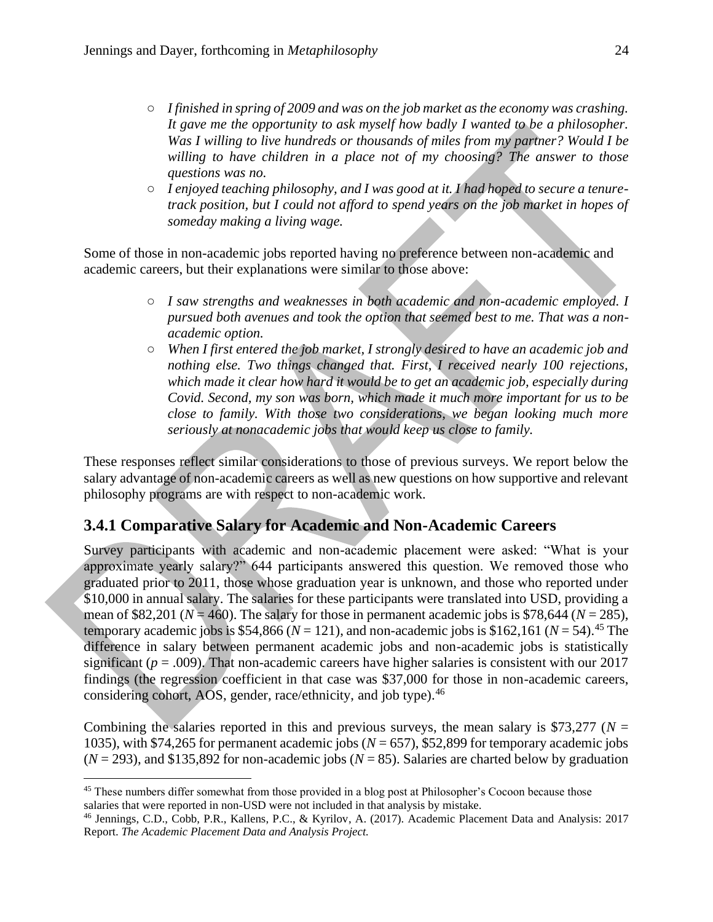- *I finished in spring of 2009 and was on the job market as the economy was crashing. It gave me the opportunity to ask myself how badly I wanted to be a philosopher. Was I willing to live hundreds or thousands of miles from my partner? Would I be willing to have children in a place not of my choosing? The answer to those questions was no.*
- *I enjoyed teaching philosophy, and I was good at it. I had hoped to secure a tenuretrack position, but I could not afford to spend years on the job market in hopes of someday making a living wage.*

Some of those in non-academic jobs reported having no preference between non-academic and academic careers, but their explanations were similar to those above:

- *I saw strengths and weaknesses in both academic and non-academic employed. I pursued both avenues and took the option that seemed best to me. That was a nonacademic option.*
- *When I first entered the job market, I strongly desired to have an academic job and nothing else. Two things changed that. First, I received nearly 100 rejections, which made it clear how hard it would be to get an academic job, especially during Covid. Second, my son was born, which made it much more important for us to be close to family. With those two considerations, we began looking much more seriously at nonacademic jobs that would keep us close to family.*

These responses reflect similar considerations to those of previous surveys. We report below the salary advantage of non-academic careers as well as new questions on how supportive and relevant philosophy programs are with respect to non-academic work.

## **3.4.1 Comparative Salary for Academic and Non-Academic Careers**

Survey participants with academic and non-academic placement were asked: "What is your approximate yearly salary?" 644 participants answered this question. We removed those who graduated prior to 2011, those whose graduation year is unknown, and those who reported under \$10,000 in annual salary. The salaries for these participants were translated into USD, providing a mean of \$82,201 ( $N = 460$ ). The salary for those in permanent academic jobs is \$78,644 ( $N = 285$ ), temporary academic jobs is \$54,866 ( $N = 121$ ), and non-academic jobs is \$162,161 ( $N = 54$ ).<sup>45</sup> The difference in salary between permanent academic jobs and non-academic jobs is statistically significant  $(p = .009)$ . That non-academic careers have higher salaries is consistent with our 2017 findings (the regression coefficient in that case was \$37,000 for those in non-academic careers, considering cohort, AOS, gender, race/ethnicity, and job type).<sup>46</sup>

Combining the salaries reported in this and previous surveys, the mean salary is \$73,277 ( $N =$ 1035), with \$74,265 for permanent academic jobs (*N* = 657), \$52,899 for temporary academic jobs  $(N = 293)$ , and \$135,892 for non-academic jobs  $(N = 85)$ . Salaries are charted below by graduation

<sup>&</sup>lt;sup>45</sup> These numbers differ somewhat from those provided in a blog post at Philosopher's Cocoon because those salaries that were reported in non-USD were not included in that analysis by mistake.

<sup>46</sup> Jennings, C.D., Cobb, P.R., Kallens, P.C., & Kyrilov, A. (2017). Academic Placement Data and Analysis: 2017 Report. *The Academic Placement Data and Analysis Project.*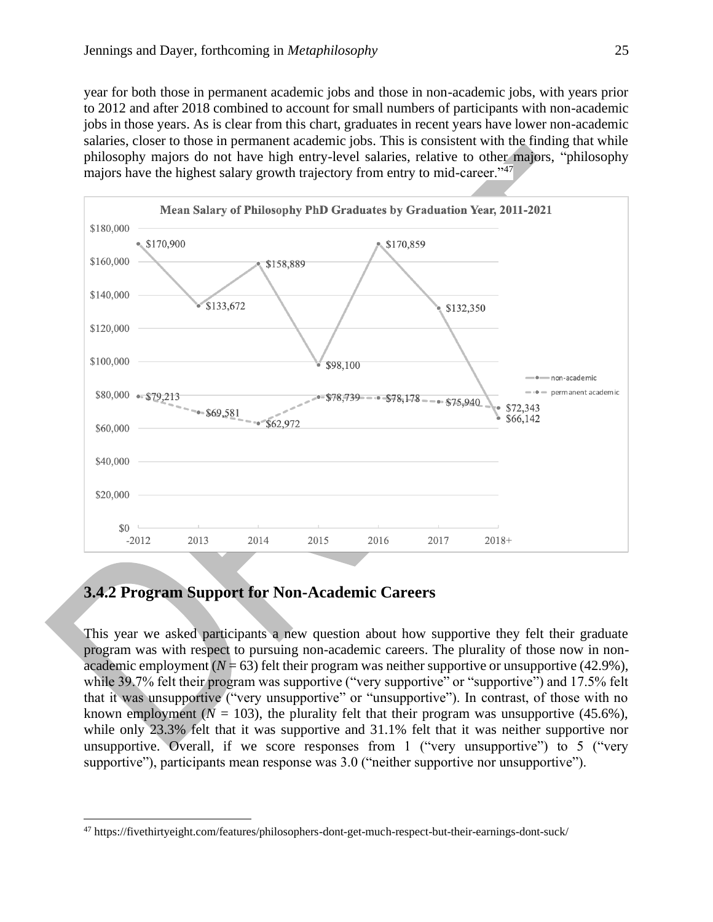year for both those in permanent academic jobs and those in non-academic jobs, with years prior to 2012 and after 2018 combined to account for small numbers of participants with non-academic jobs in those years. As is clear from this chart, graduates in recent years have lower non-academic salaries, closer to those in permanent academic jobs. This is consistent with the finding that while philosophy majors do not have high entry-level salaries, relative to other majors, "philosophy majors have the highest salary growth trajectory from entry to mid-career."<sup>47</sup>



#### **3.4.2 Program Support for Non-Academic Careers**

This year we asked participants a new question about how supportive they felt their graduate program was with respect to pursuing non-academic careers. The plurality of those now in nonacademic employment  $(N = 63)$  felt their program was neither supportive or unsupportive (42.9%), while 39.7% felt their program was supportive ("very supportive" or "supportive") and 17.5% felt that it was unsupportive ("very unsupportive" or "unsupportive"). In contrast, of those with no known employment ( $N = 103$ ), the plurality felt that their program was unsupportive (45.6%), while only 23.3% felt that it was supportive and 31.1% felt that it was neither supportive nor unsupportive. Overall, if we score responses from 1 ("very unsupportive") to 5 ("very supportive"), participants mean response was 3.0 ("neither supportive nor unsupportive").

<sup>47</sup> https://fivethirtyeight.com/features/philosophers-dont-get-much-respect-but-their-earnings-dont-suck/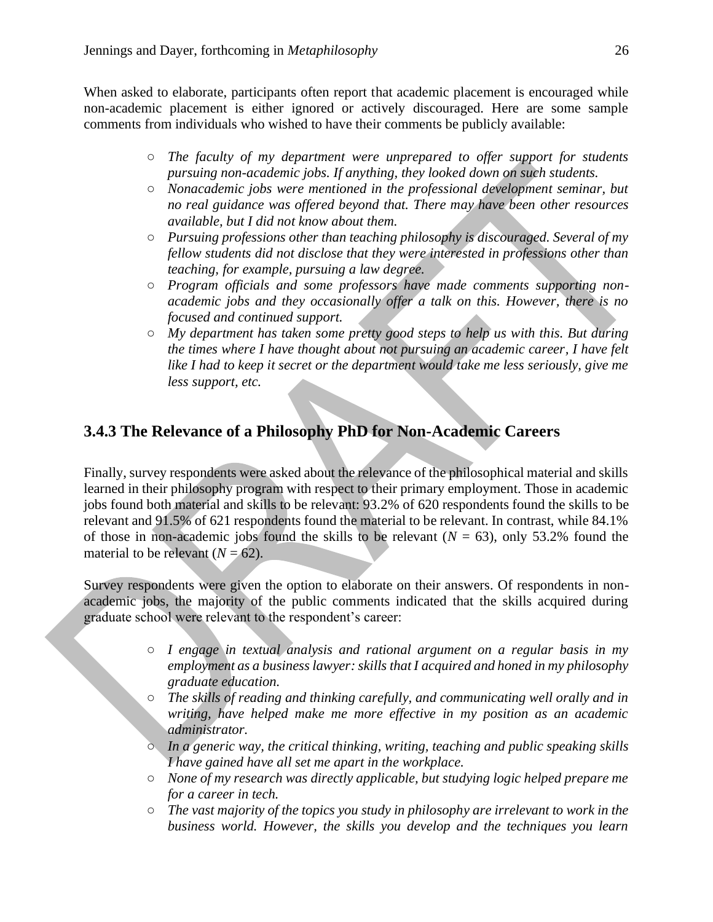When asked to elaborate, participants often report that academic placement is encouraged while non-academic placement is either ignored or actively discouraged. Here are some sample comments from individuals who wished to have their comments be publicly available:

- *The faculty of my department were unprepared to offer support for students pursuing non-academic jobs. If anything, they looked down on such students.*
- *Nonacademic jobs were mentioned in the professional development seminar, but no real guidance was offered beyond that. There may have been other resources available, but I did not know about them.*
- *Pursuing professions other than teaching philosophy is discouraged. Several of my fellow students did not disclose that they were interested in professions other than teaching, for example, pursuing a law degree.*
- *Program officials and some professors have made comments supporting nonacademic jobs and they occasionally offer a talk on this. However, there is no focused and continued support.*
- *My department has taken some pretty good steps to help us with this. But during the times where I have thought about not pursuing an academic career, I have felt*  like I had to keep it secret or the department would take me less seriously, give me *less support, etc.*

## **3.4.3 The Relevance of a Philosophy PhD for Non-Academic Careers**

Finally, survey respondents were asked about the relevance of the philosophical material and skills learned in their philosophy program with respect to their primary employment. Those in academic jobs found both material and skills to be relevant: 93.2% of 620 respondents found the skills to be relevant and 91.5% of 621 respondents found the material to be relevant. In contrast, while 84.1% of those in non-academic jobs found the skills to be relevant  $(N = 63)$ , only 53.2% found the material to be relevant  $(N = 62)$ .

Survey respondents were given the option to elaborate on their answers. Of respondents in nonacademic jobs, the majority of the public comments indicated that the skills acquired during graduate school were relevant to the respondent's career:

- *I engage in textual analysis and rational argument on a regular basis in my employment as a business lawyer: skills that I acquired and honed in my philosophy graduate education.*
- *The skills of reading and thinking carefully, and communicating well orally and in writing, have helped make me more effective in my position as an academic administrator.*
- *In a generic way, the critical thinking, writing, teaching and public speaking skills I have gained have all set me apart in the workplace.*
- *None of my research was directly applicable, but studying logic helped prepare me for a career in tech.*
- *The vast majority of the topics you study in philosophy are irrelevant to work in the business world. However, the skills you develop and the techniques you learn*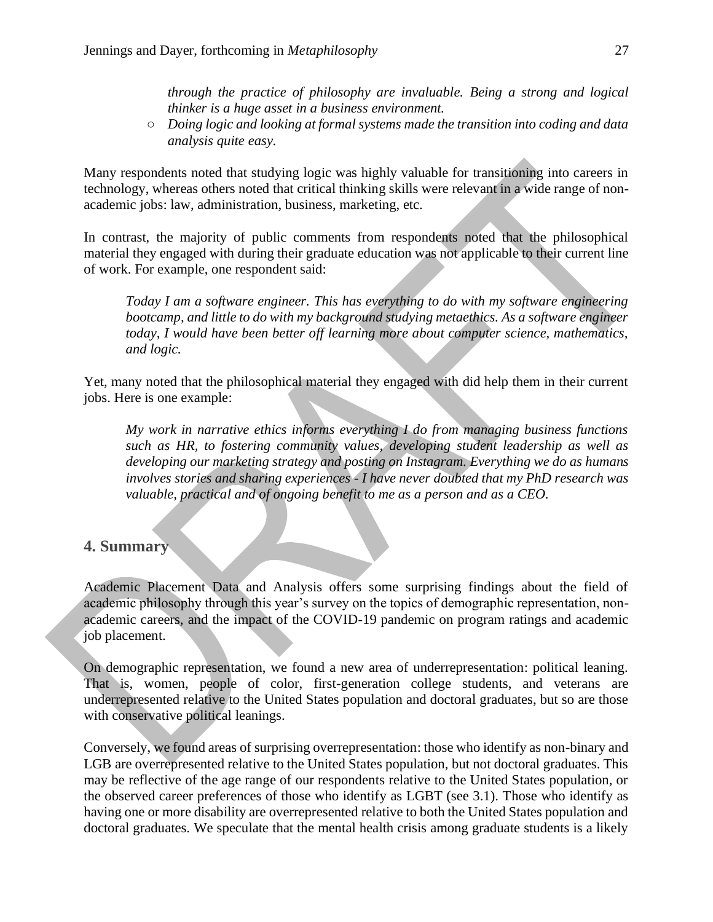*through the practice of philosophy are invaluable. Being a strong and logical thinker is a huge asset in a business environment.*

○ *Doing logic and looking at formal systems made the transition into coding and data analysis quite easy.*

Many respondents noted that studying logic was highly valuable for transitioning into careers in technology, whereas others noted that critical thinking skills were relevant in a wide range of nonacademic jobs: law, administration, business, marketing, etc.

In contrast, the majority of public comments from respondents noted that the philosophical material they engaged with during their graduate education was not applicable to their current line of work. For example, one respondent said:

*Today I am a software engineer. This has everything to do with my software engineering bootcamp, and little to do with my background studying metaethics. As a software engineer today, I would have been better off learning more about computer science, mathematics, and logic.*

Yet, many noted that the philosophical material they engaged with did help them in their current jobs. Here is one example:

*My work in narrative ethics informs everything I do from managing business functions such as HR, to fostering community values, developing student leadership as well as developing our marketing strategy and posting on Instagram. Everything we do as humans involves stories and sharing experiences - I have never doubted that my PhD research was valuable, practical and of ongoing benefit to me as a person and as a CEO.*

#### **4. Summary**

Academic Placement Data and Analysis offers some surprising findings about the field of academic philosophy through this year's survey on the topics of demographic representation, nonacademic careers, and the impact of the COVID-19 pandemic on program ratings and academic job placement.

On demographic representation, we found a new area of underrepresentation: political leaning. That is, women, people of color, first-generation college students, and veterans are underrepresented relative to the United States population and doctoral graduates, but so are those with conservative political leanings.

Conversely, we found areas of surprising overrepresentation: those who identify as non-binary and LGB are overrepresented relative to the United States population, but not doctoral graduates. This may be reflective of the age range of our respondents relative to the United States population, or the observed career preferences of those who identify as LGBT (see 3.1). Those who identify as having one or more disability are overrepresented relative to both the United States population and doctoral graduates. We speculate that the mental health crisis among graduate students is a likely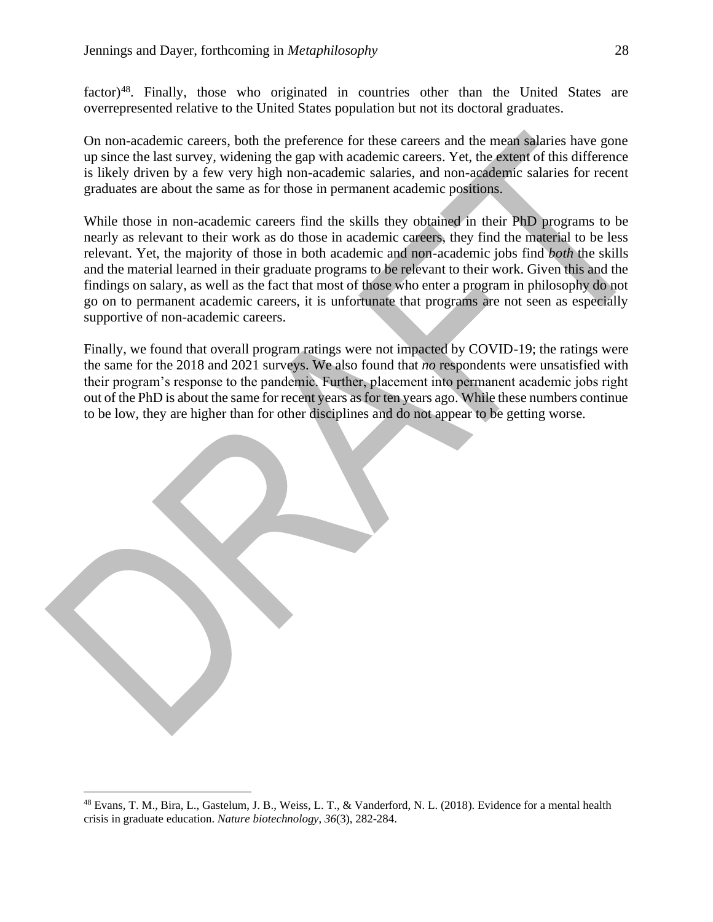factor)<sup>48</sup>. Finally, those who originated in countries other than the United States are overrepresented relative to the United States population but not its doctoral graduates.

On non-academic careers, both the preference for these careers and the mean salaries have gone up since the last survey, widening the gap with academic careers. Yet, the extent of this difference is likely driven by a few very high non-academic salaries, and non-academic salaries for recent graduates are about the same as for those in permanent academic positions.

While those in non-academic careers find the skills they obtained in their PhD programs to be nearly as relevant to their work as do those in academic careers, they find the material to be less relevant. Yet, the majority of those in both academic and non-academic jobs find *both* the skills and the material learned in their graduate programs to be relevant to their work. Given this and the findings on salary, as well as the fact that most of those who enter a program in philosophy do not go on to permanent academic careers, it is unfortunate that programs are not seen as especially supportive of non-academic careers.

Finally, we found that overall program ratings were not impacted by COVID-19; the ratings were the same for the 2018 and 2021 surveys. We also found that *no* respondents were unsatisfied with their program's response to the pandemic. Further, placement into permanent academic jobs right out of the PhD is about the same for recent years as for ten years ago. While these numbers continue to be low, they are higher than for other disciplines and do not appear to be getting worse.

<sup>48</sup> Evans, T. M., Bira, L., Gastelum, J. B., Weiss, L. T., & Vanderford, N. L. (2018). Evidence for a mental health crisis in graduate education. *Nature biotechnology*, *36*(3), 282-284.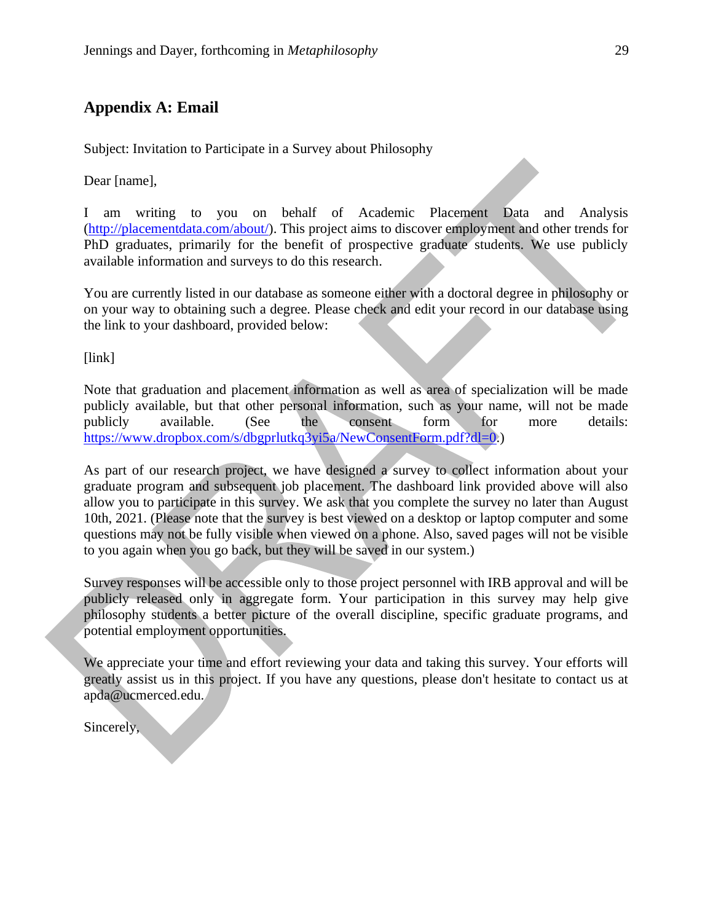#### **Appendix A: Email**

Subject: Invitation to Participate in a Survey about Philosophy

Dear [name],

I am writing to you on behalf of Academic Placement Data and Analysis [\(http://placementdata.com/about/\)](http://placementdata.com/about/). This project aims to discover employment and other trends for PhD graduates, primarily for the benefit of prospective graduate students. We use publicly available information and surveys to do this research.

You are currently listed in our database as someone either with a doctoral degree in philosophy or on your way to obtaining such a degree. Please check and edit your record in our database using the link to your dashboard, provided below:

[link]

Note that graduation and placement information as well as area of specialization will be made publicly available, but that other personal information, such as your name, will not be made publicly available. (See the consent form for more details: [https://www.dropbox.com/s/dbgprlutkq3yi5a/NewConsentForm.pdf?dl=0.](https://www.dropbox.com/s/dbgprlutkq3yi5a/NewConsentForm.pdf?dl=0))

As part of our research project, we have designed a survey to collect information about your graduate program and subsequent job placement. The dashboard link provided above will also allow you to participate in this survey. We ask that you complete the survey no later than August 10th, 2021. (Please note that the survey is best viewed on a desktop or laptop computer and some questions may not be fully visible when viewed on a phone. Also, saved pages will not be visible to you again when you go back, but they will be saved in our system.)

Survey responses will be accessible only to those project personnel with IRB approval and will be publicly released only in aggregate form. Your participation in this survey may help give philosophy students a better picture of the overall discipline, specific graduate programs, and potential employment opportunities.

We appreciate your time and effort reviewing your data and taking this survey. Your efforts will greatly assist us in this project. If you have any questions, please don't hesitate to contact us at apda@ucmerced.edu.

Sincerely,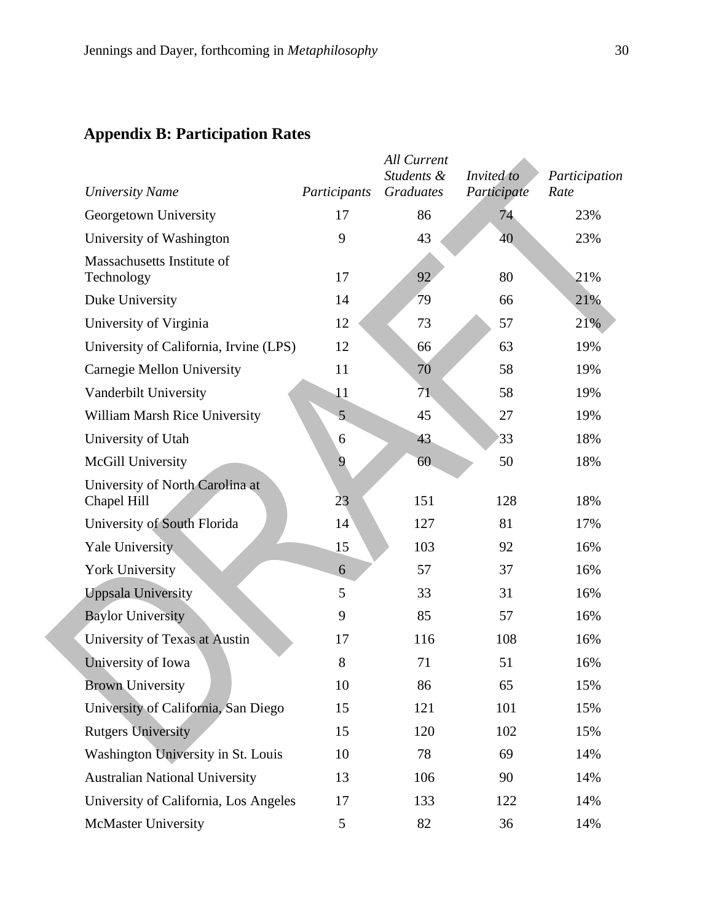# **Appendix B: Participation Rates**

| <b>University Name</b>                         | Participants | <b>All Current</b><br>Students &<br><b>Graduates</b> | Invited to<br>Participate | Participation<br>Rate |
|------------------------------------------------|--------------|------------------------------------------------------|---------------------------|-----------------------|
| Georgetown University                          | 17           | 86                                                   | 74                        | 23%                   |
| University of Washington                       | 9            | 43                                                   | 40                        | 23%                   |
| Massachusetts Institute of<br>Technology       | 17           | 92                                                   | 80                        | 21%                   |
| Duke University                                | 14           | 79                                                   | 66                        | 21%                   |
| University of Virginia                         | 12           | 73                                                   | 57                        | 21%                   |
| University of California, Irvine (LPS)         | 12           | 66                                                   | 63                        | 19%                   |
| Carnegie Mellon University                     | 11           | 70                                                   | 58                        | 19%                   |
| Vanderbilt University                          | 11           | 71                                                   | 58                        | 19%                   |
| William Marsh Rice University                  | 5            | 45                                                   | 27                        | 19%                   |
| University of Utah                             | 6            | 43                                                   | 33                        | 18%                   |
| McGill University                              | 9            | 60                                                   | 50                        | 18%                   |
| University of North Carolina at<br>Chapel Hill | 23           | 151                                                  | 128                       | 18%                   |
| University of South Florida                    | 14           | 127                                                  | 81                        | 17%                   |
| <b>Yale University</b>                         | 15           | 103                                                  | 92                        | 16%                   |
| York University                                | 6            | 57                                                   | 37                        | 16%                   |
| <b>Uppsala University</b>                      | 5            | 33                                                   | 31                        | 16%                   |
| <b>Baylor University</b>                       | 9            | 85                                                   | 57                        | 16%                   |
| University of Texas at Austin                  | 17           | 116                                                  | 108                       | 16%                   |
| University of Iowa                             | 8            | 71                                                   | 51                        | 16%                   |
| <b>Brown University</b>                        | 10           | 86                                                   | 65                        | 15%                   |
| University of California, San Diego            | 15           | 121                                                  | 101                       | 15%                   |
| <b>Rutgers University</b>                      | 15           | 120                                                  | 102                       | 15%                   |
| Washington University in St. Louis             | 10           | 78                                                   | 69                        | 14%                   |
| <b>Australian National University</b>          | 13           | 106                                                  | 90                        | 14%                   |
| University of California, Los Angeles          | 17           | 133                                                  | 122                       | 14%                   |
| McMaster University                            | 5            | 82                                                   | 36                        | 14%                   |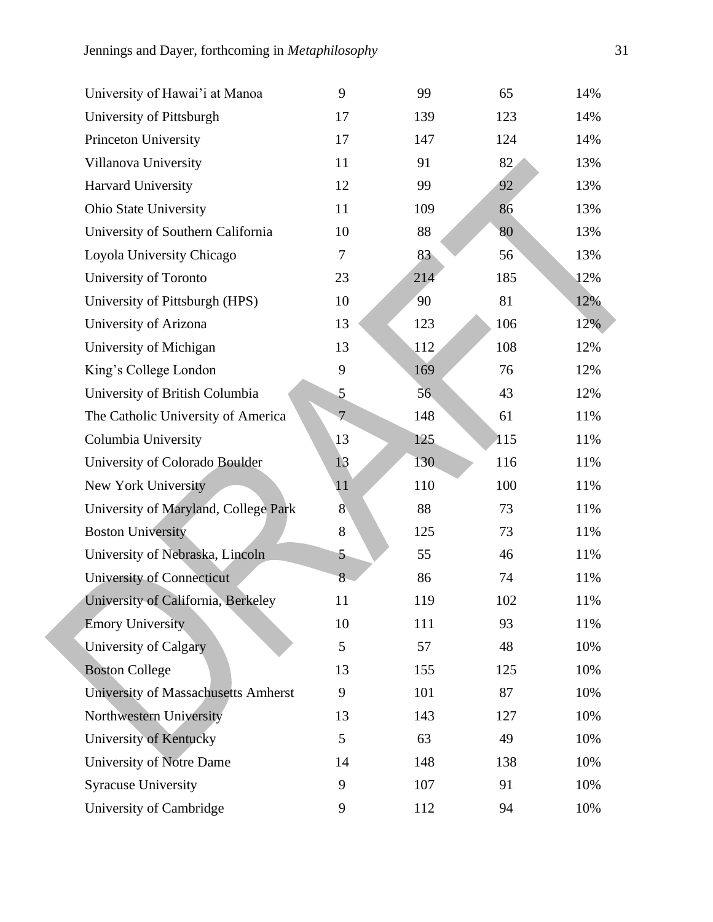| University of Hawai'i at Manoa       | 9              | 99  | 65  | 14% |
|--------------------------------------|----------------|-----|-----|-----|
| University of Pittsburgh             | 17             | 139 | 123 | 14% |
| Princeton University                 | 17             | 147 | 124 | 14% |
| Villanova University                 | 11             | 91  | 82  | 13% |
| Harvard University                   | 12             | 99  | 92  | 13% |
| <b>Ohio State University</b>         | 11             | 109 | 86  | 13% |
| University of Southern California    | 10             | 88  | 80  | 13% |
| Loyola University Chicago            | $\overline{7}$ | 83  | 56  | 13% |
| University of Toronto                | 23             | 214 | 185 | 12% |
| University of Pittsburgh (HPS)       | 10             | 90  | 81  | 12% |
| University of Arizona                | 13             | 123 | 106 | 12% |
| University of Michigan               | 13             | 112 | 108 | 12% |
| King's College London                | 9              | 169 | 76  | 12% |
| University of British Columbia       | 5              | 56  | 43  | 12% |
| The Catholic University of America   | $\overline{7}$ | 148 | 61  | 11% |
| Columbia University                  | 13             | 125 | 115 | 11% |
| University of Colorado Boulder       | 13             | 130 | 116 | 11% |
| New York University                  | 11             | 110 | 100 | 11% |
| University of Maryland, College Park | $\overline{8}$ | 88  | 73  | 11% |
| <b>Boston University</b>             | 8              | 125 | 73  | 11% |
| University of Nebraska, Lincoln      | 5              | 55  | 46  | 11% |
| University of Connecticut            | 8              | 86  | 74  | 11% |
| University of California, Berkeley   | 11             | 119 | 102 | 11% |
| <b>Emory University</b>              | 10             | 111 | 93  | 11% |
| University of Calgary                | 5              | 57  | 48  | 10% |
| <b>Boston College</b>                | 13             | 155 | 125 | 10% |
| University of Massachusetts Amherst  | 9              | 101 | 87  | 10% |
| Northwestern University              | 13             | 143 | 127 | 10% |
| University of Kentucky               | 5              | 63  | 49  | 10% |
| University of Notre Dame             | 14             | 148 | 138 | 10% |
| <b>Syracuse University</b>           | 9              | 107 | 91  | 10% |
| University of Cambridge              | 9              | 112 | 94  | 10% |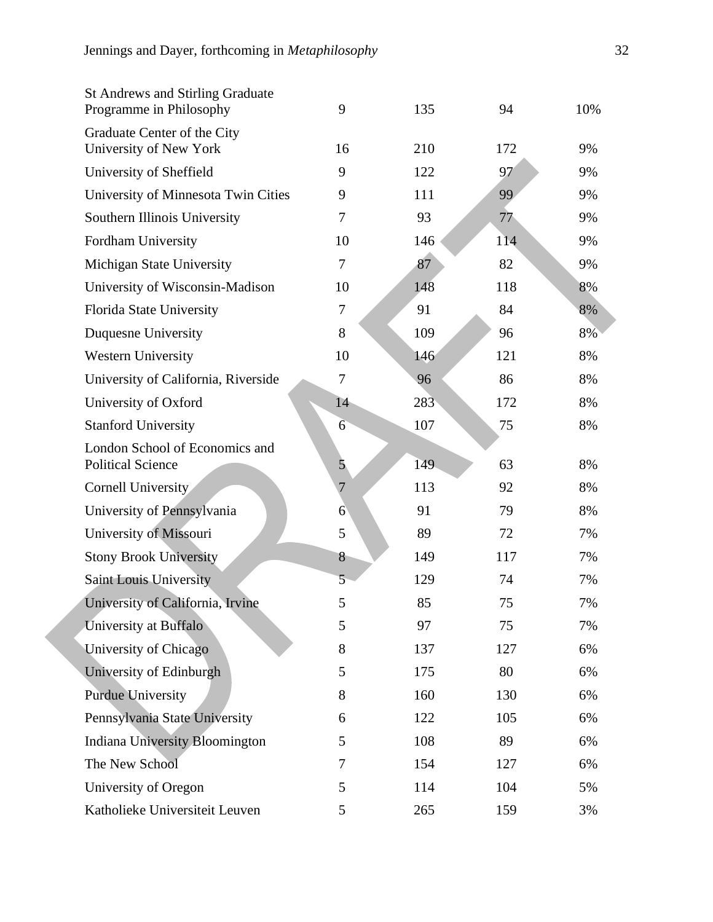| <b>St Andrews and Stirling Graduate</b><br>Programme in Philosophy | 9               | 135 | 94  | 10% |
|--------------------------------------------------------------------|-----------------|-----|-----|-----|
| Graduate Center of the City                                        |                 |     |     |     |
| University of New York                                             | 16              | 210 | 172 | 9%  |
| University of Sheffield                                            | 9               | 122 | 97  | 9%  |
| University of Minnesota Twin Cities                                | 9               | 111 | 99  | 9%  |
| Southern Illinois University                                       | 7               | 93  | 77  | 9%  |
| Fordham University                                                 | 10              | 146 | 114 | 9%  |
| Michigan State University                                          | 7               | 87  | 82  | 9%  |
| University of Wisconsin-Madison                                    | 10              | 148 | 118 | 8%  |
| Florida State University                                           | $\tau$          | 91  | 84  | 8%  |
| Duquesne University                                                | 8               | 109 | 96  | 8%  |
| <b>Western University</b>                                          | 10              | 146 | 121 | 8%  |
| University of California, Riverside                                | $\tau$          | 96  | 86  | 8%  |
| University of Oxford                                               | 14              | 283 | 172 | 8%  |
| <b>Stanford University</b>                                         | 6               | 107 | 75  | 8%  |
| London School of Economics and<br><b>Political Science</b>         | 5               | 149 | 63  | 8%  |
| <b>Cornell University</b>                                          | $\overline{7}$  | 113 | 92  | 8%  |
| University of Pennsylvania                                         | 6               | 91  | 79  | 8%  |
| University of Missouri                                             | 5               | 89  | 72  | 7%  |
| <b>Stony Brook University</b>                                      | 8               | 149 | 117 | 7%  |
| Saint Louis University                                             | $5\overline{)}$ | 129 | 74  | 7%  |
| University of California, Irvine                                   | 5               | 85  | 75  | 7%  |
| University at Buffalo                                              | 5               | 97  | 75  | 7%  |
| University of Chicago                                              | 8               | 137 | 127 | 6%  |
| University of Edinburgh                                            | 5               | 175 | 80  | 6%  |
| <b>Purdue University</b>                                           | 8               | 160 | 130 | 6%  |
| Pennsylvania State University                                      | 6               | 122 | 105 | 6%  |
| <b>Indiana University Bloomington</b>                              | 5               | 108 | 89  | 6%  |
| The New School                                                     | 7               | 154 | 127 | 6%  |
| University of Oregon                                               | 5               | 114 | 104 | 5%  |
| Katholieke Universiteit Leuven                                     | 5               | 265 | 159 | 3%  |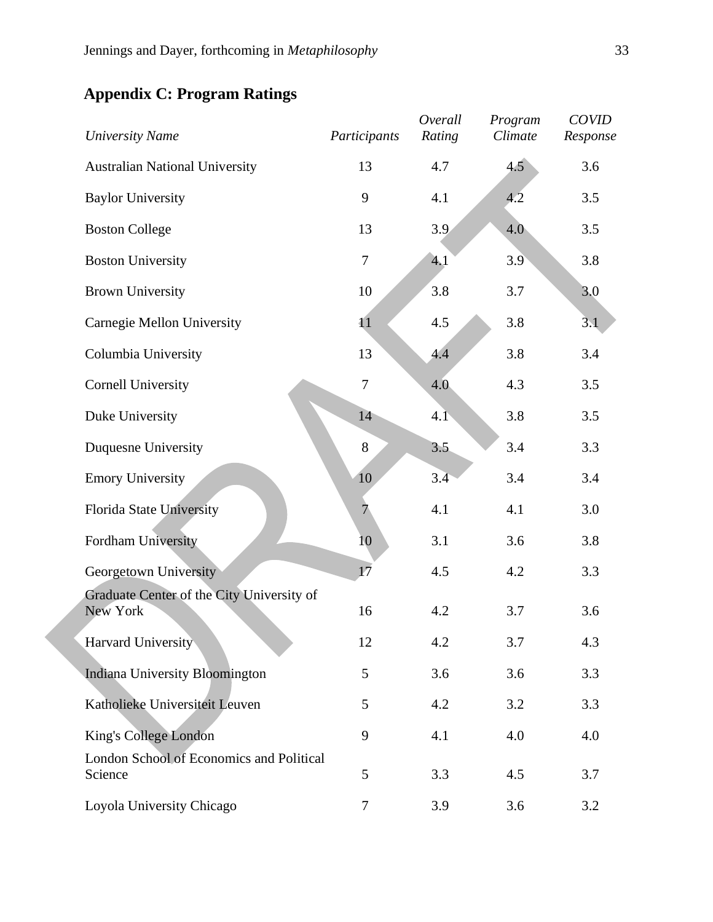# *University Name Participants Overall Rating Program Climate COVID Response* Australian National University 13 4.7 4.5 3.6 Baylor University 9 4.1 4.2 3.5 Boston College 13 3.9 4.0 3.5 Boston University 7 4.1 3.9 3.8 Brown University 10 3.8 3.7 3.0 Carnegie Mellon University 11 4.5 3.8 3.1 Columbia University 13 4.4 3.8 3.4 Cornell University 7 4.0 4.3 3.5 Duke University 14 4.1 3.8 3.5 Duquesne University 8 3.5 3.4 3.3 Emory University 10 3.4 3.4 3.4 3.4 Florida State University 7 4.1 4.1 3.0 Fordham University 10 3.1 3.6 3.8 Georgetown University 17 4.5 4.2 3.3 Graduate Center of the City University of New York 16 4.2 3.7 3.6 Harvard University 12 4.2 3.7 4.3 Indiana University Bloomington 5 3.6 3.6 3.3 Katholieke Universiteit Leuven 5 4.2 3.2 3.3 King's College London 9 4.1 4.0 4.0 London School of Economics and Political

Science 5 3.3 4.5 3.7

## **Appendix C: Program Ratings**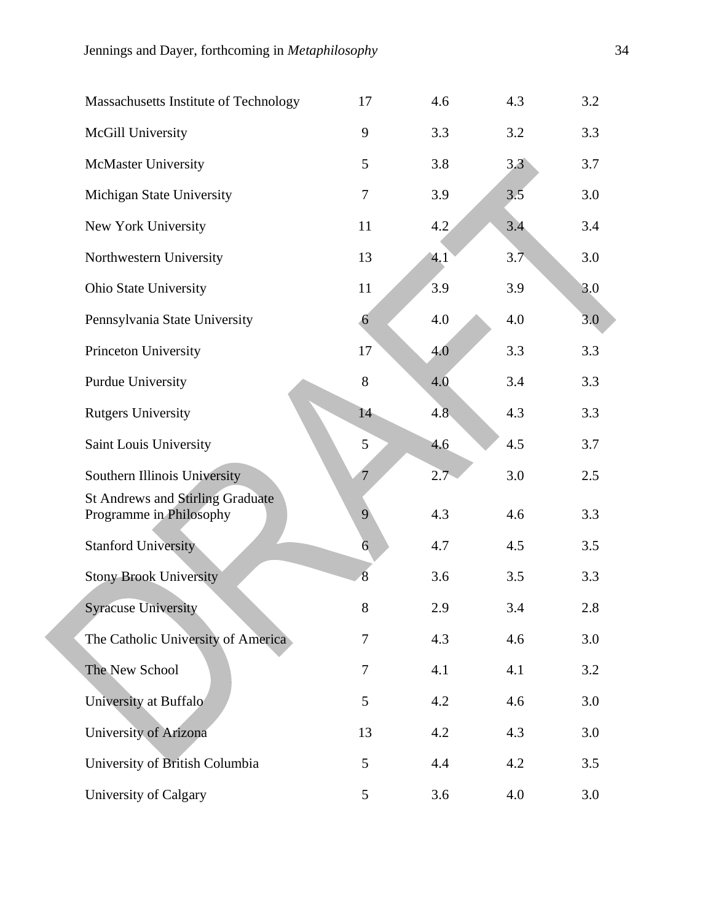| Massachusetts Institute of Technology                              | 17             | 4.6 | 4.3 | 3.2 |
|--------------------------------------------------------------------|----------------|-----|-----|-----|
| McGill University                                                  | 9              | 3.3 | 3.2 | 3.3 |
| McMaster University                                                | 5              | 3.8 | 3.3 | 3.7 |
| Michigan State University                                          | 7              | 3.9 | 3.5 | 3.0 |
| New York University                                                | 11             | 4.2 | 3.4 | 3.4 |
| Northwestern University                                            | 13             | 4.1 | 3.7 | 3.0 |
| Ohio State University                                              | 11             | 3.9 | 3.9 | 3.0 |
| Pennsylvania State University                                      | 6              | 4.0 | 4.0 | 3.0 |
| Princeton University                                               | 17             | 4.0 | 3.3 | 3.3 |
| <b>Purdue University</b>                                           | 8              | 4.0 | 3.4 | 3.3 |
| <b>Rutgers University</b>                                          | 14             | 4.8 | 4.3 | 3.3 |
| Saint Louis University                                             | 5              | 4.6 | 4.5 | 3.7 |
| Southern Illinois University                                       | $\overline{7}$ | 2.7 | 3.0 | 2.5 |
| <b>St Andrews and Stirling Graduate</b><br>Programme in Philosophy | 9              | 4.3 | 4.6 | 3.3 |
| <b>Stanford University</b>                                         | $\overline{6}$ | 4.7 | 4.5 | 3.5 |
| <b>Stony Brook University</b>                                      | 8              | 3.6 | 3.5 | 3.3 |
| <b>Syracuse University</b>                                         | 8              | 2.9 | 3.4 | 2.8 |
| The Catholic University of America                                 | 7              | 4.3 | 4.6 | 3.0 |
| The New School                                                     | 7              | 4.1 | 4.1 | 3.2 |
| University at Buffalo                                              | 5              | 4.2 | 4.6 | 3.0 |
| University of Arizona                                              | 13             | 4.2 | 4.3 | 3.0 |
| University of British Columbia                                     | 5              | 4.4 | 4.2 | 3.5 |
| University of Calgary                                              | 5              | 3.6 | 4.0 | 3.0 |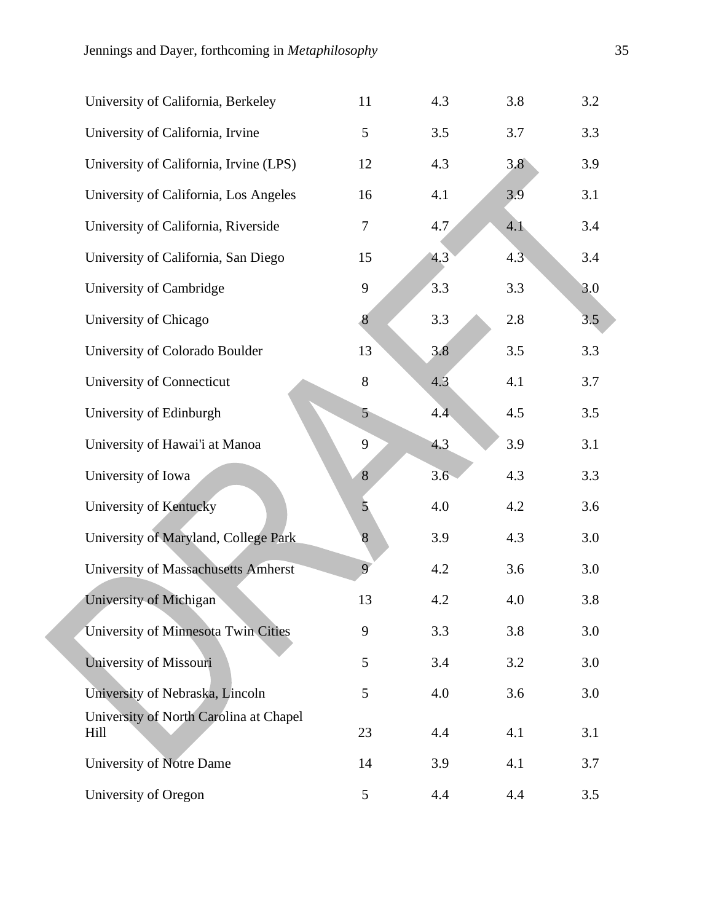| University of California, Berkeley             | 11             | 4.3 | 3.8 | 3.2 |
|------------------------------------------------|----------------|-----|-----|-----|
| University of California, Irvine               | 5              | 3.5 | 3.7 | 3.3 |
| University of California, Irvine (LPS)         | 12             | 4.3 | 3.8 | 3.9 |
| University of California, Los Angeles          | 16             | 4.1 | 3.9 | 3.1 |
| University of California, Riverside            | 7              | 4.7 | 4.1 | 3.4 |
| University of California, San Diego            | 15             | 4.3 | 4.3 | 3.4 |
| University of Cambridge                        | 9              | 3.3 | 3.3 | 3.0 |
| University of Chicago                          | $\bf 8$        | 3.3 | 2.8 | 3.5 |
| University of Colorado Boulder                 | 13             | 3.8 | 3.5 | 3.3 |
| University of Connecticut                      | 8              | 4.3 | 4.1 | 3.7 |
| University of Edinburgh                        | 5              | 4.4 | 4.5 | 3.5 |
| University of Hawai'i at Manoa                 | 9              | 4.3 | 3.9 | 3.1 |
| University of Iowa                             | 8              | 3.6 | 4.3 | 3.3 |
| University of Kentucky                         | $\mathbf{5}$   | 4.0 | 4.2 | 3.6 |
| University of Maryland, College Park           | 8              | 3.9 | 4.3 | 3.0 |
| University of Massachusetts Amherst            | $\overline{Q}$ | 4.2 | 3.6 | 3.0 |
| University of Michigan                         | 13             | 4.2 | 4.0 | 3.8 |
| University of Minnesota Twin Cities            | 9              | 3.3 | 3.8 | 3.0 |
| University of Missouri                         | 5              | 3.4 | 3.2 | 3.0 |
| University of Nebraska, Lincoln                | 5              | 4.0 | 3.6 | 3.0 |
| University of North Carolina at Chapel<br>Hill | 23             | 4.4 | 4.1 | 3.1 |
| University of Notre Dame                       | 14             | 3.9 | 4.1 | 3.7 |
| University of Oregon                           | 5              | 4.4 | 4.4 | 3.5 |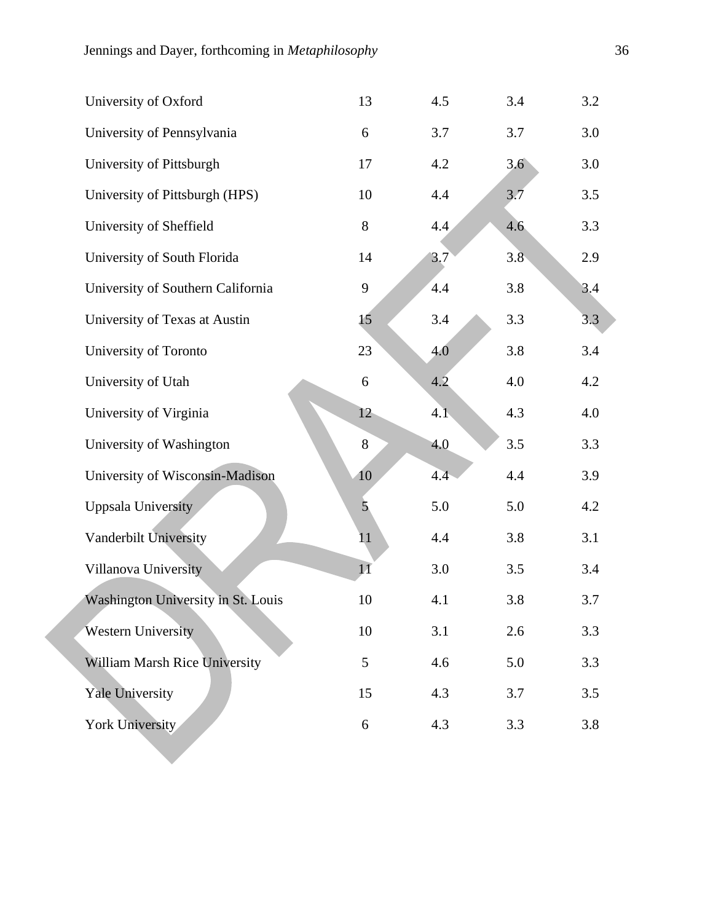| University of Oxford               | 13           | 4.5 | 3.4 | 3.2 |
|------------------------------------|--------------|-----|-----|-----|
| University of Pennsylvania         | 6            | 3.7 | 3.7 | 3.0 |
| University of Pittsburgh           | 17           | 4.2 | 3.6 | 3.0 |
| University of Pittsburgh (HPS)     | 10           | 4.4 | 3.7 | 3.5 |
| University of Sheffield            | 8            | 4.4 | 4.6 | 3.3 |
| University of South Florida        | 14           | 3.7 | 3.8 | 2.9 |
| University of Southern California  | 9            | 4.4 | 3.8 | 3.4 |
| University of Texas at Austin      | 15           | 3.4 | 3.3 | 3.3 |
| University of Toronto              | 23           | 4.0 | 3.8 | 3.4 |
| University of Utah                 | 6            | 4.2 | 4.0 | 4.2 |
| University of Virginia             | 12           | 4.1 | 4.3 | 4.0 |
| University of Washington           | 8            | 4.0 | 3.5 | 3.3 |
| University of Wisconsin-Madison    | 10           | 4.4 | 4.4 | 3.9 |
| <b>Uppsala University</b>          | $\mathbf{5}$ | 5.0 | 5.0 | 4.2 |
| Vanderbilt University              | 11           | 4.4 | 3.8 | 3.1 |
| Villanova University               | 11           | 3.0 | 3.5 | 3.4 |
| Washington University in St. Louis | 10           | 4.1 | 3.8 | 3.7 |
| Western University                 | 10           | 3.1 | 2.6 | 3.3 |
| William Marsh Rice University      | 5            | 4.6 | 5.0 | 3.3 |
| <b>Yale University</b>             | 15           | 4.3 | 3.7 | 3.5 |
| York University                    | 6            | 4.3 | 3.3 | 3.8 |
|                                    |              |     |     |     |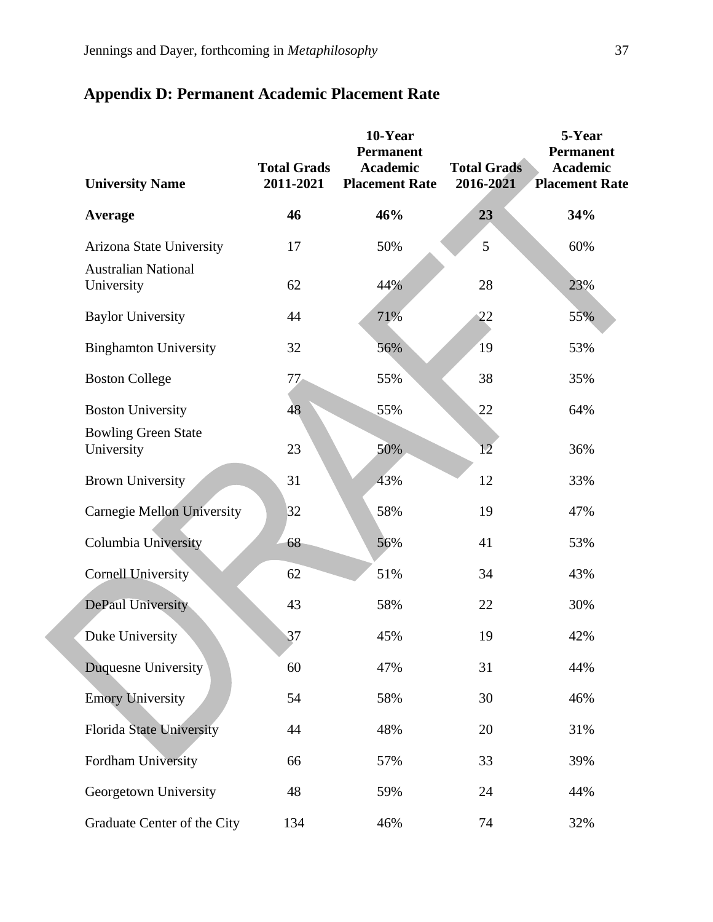| <b>University Name</b>                   | <b>Total Grads</b><br>2011-2021 | 10-Year<br><b>Permanent</b><br><b>Academic</b><br><b>Placement Rate</b> | <b>Total Grads</b><br>2016-2021 | 5-Year<br><b>Permanent</b><br><b>Academic</b><br><b>Placement Rate</b> |
|------------------------------------------|---------------------------------|-------------------------------------------------------------------------|---------------------------------|------------------------------------------------------------------------|
| Average                                  | 46                              | 46%                                                                     | 23                              | 34%                                                                    |
| Arizona State University                 | 17                              | 50%                                                                     | 5                               | 60%                                                                    |
| <b>Australian National</b><br>University | 62                              | 44%                                                                     | 28                              | 23%                                                                    |
| <b>Baylor University</b>                 | 44                              | 71%                                                                     | 22                              | 55%                                                                    |
| <b>Binghamton University</b>             | 32                              | 56%                                                                     | 19                              | 53%                                                                    |
| <b>Boston College</b>                    | 77                              | 55%                                                                     | 38                              | 35%                                                                    |
| <b>Boston University</b>                 | 48                              | 55%                                                                     | 22                              | 64%                                                                    |
| <b>Bowling Green State</b><br>University | 23                              | 50%                                                                     | 12                              | 36%                                                                    |
| <b>Brown University</b>                  | 31                              | 43%                                                                     | 12                              | 33%                                                                    |
| <b>Carnegie Mellon University</b>        | 32                              | 58%                                                                     | 19                              | 47%                                                                    |
| Columbia University                      | 68                              | 56%                                                                     | 41                              | 53%                                                                    |
| <b>Cornell University</b>                | 62                              | 51%                                                                     | 34                              | 43%                                                                    |
| DePaul University                        | 43                              | 58%                                                                     | 22                              | 30%                                                                    |
| Duke University                          | 37                              | 45%                                                                     | 19                              | 42%                                                                    |
| Duquesne University                      | 60                              | 47%                                                                     | 31                              | 44%                                                                    |
| <b>Emory University</b>                  | 54                              | 58%                                                                     | 30                              | 46%                                                                    |
| <b>Florida State University</b>          | 44                              | 48%                                                                     | 20                              | 31%                                                                    |
| Fordham University                       | 66                              | 57%                                                                     | 33                              | 39%                                                                    |
| Georgetown University                    | 48                              | 59%                                                                     | 24                              | 44%                                                                    |
| Graduate Center of the City              | 134                             | 46%                                                                     | 74                              | 32%                                                                    |

# **Appendix D: Permanent Academic Placement Rate**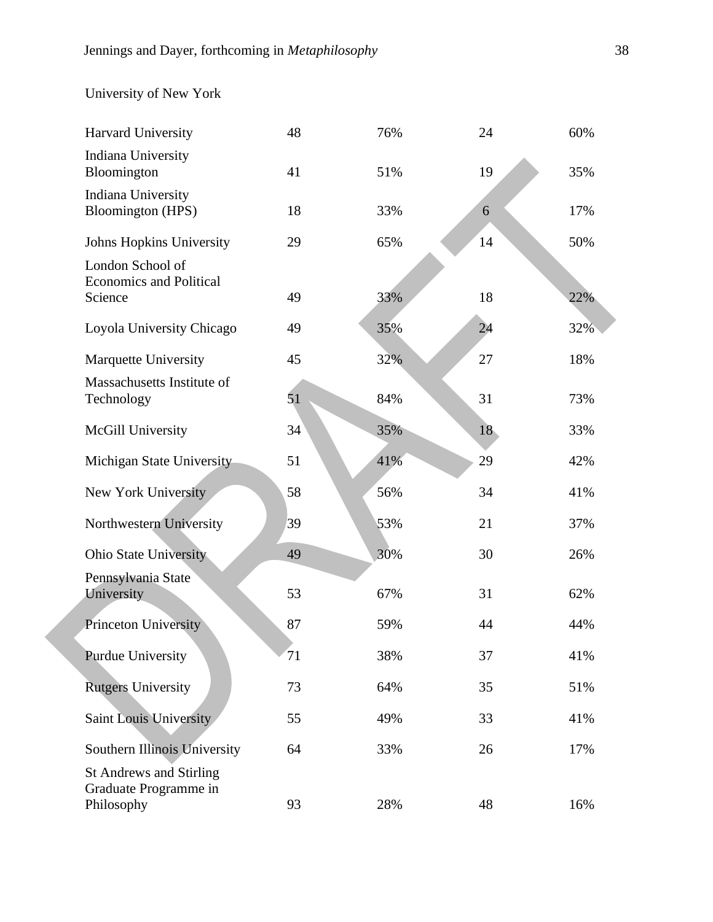# University of New York

| Harvard University                                                    | 48 | 76% | 24 | 60% |
|-----------------------------------------------------------------------|----|-----|----|-----|
| <b>Indiana University</b><br>Bloomington                              | 41 | 51% | 19 | 35% |
| <b>Indiana University</b><br><b>Bloomington</b> (HPS)                 | 18 | 33% | 6  | 17% |
| <b>Johns Hopkins University</b>                                       | 29 | 65% | 14 | 50% |
| London School of<br><b>Economics and Political</b><br>Science         | 49 | 33% | 18 | 22% |
| Loyola University Chicago                                             | 49 | 35% | 24 | 32% |
| Marquette University                                                  | 45 | 32% | 27 | 18% |
| Massachusetts Institute of<br>Technology                              | 51 | 84% | 31 | 73% |
| McGill University                                                     | 34 | 35% | 18 | 33% |
| Michigan State University                                             | 51 | 41% | 29 | 42% |
| New York University                                                   | 58 | 56% | 34 | 41% |
| Northwestern University                                               | 39 | 53% | 21 | 37% |
| Ohio State University                                                 | 49 | 30% | 30 | 26% |
| Pennsylvania State<br>University                                      | 53 | 67% | 31 | 62% |
| Princeton University                                                  | 87 | 59% | 44 | 44% |
| <b>Purdue University</b>                                              | 71 | 38% | 37 | 41% |
| <b>Rutgers University</b>                                             | 73 | 64% | 35 | 51% |
| Saint Louis University                                                | 55 | 49% | 33 | 41% |
| Southern Illinois University                                          | 64 | 33% | 26 | 17% |
| <b>St Andrews and Stirling</b><br>Graduate Programme in<br>Philosophy | 93 | 28% | 48 | 16% |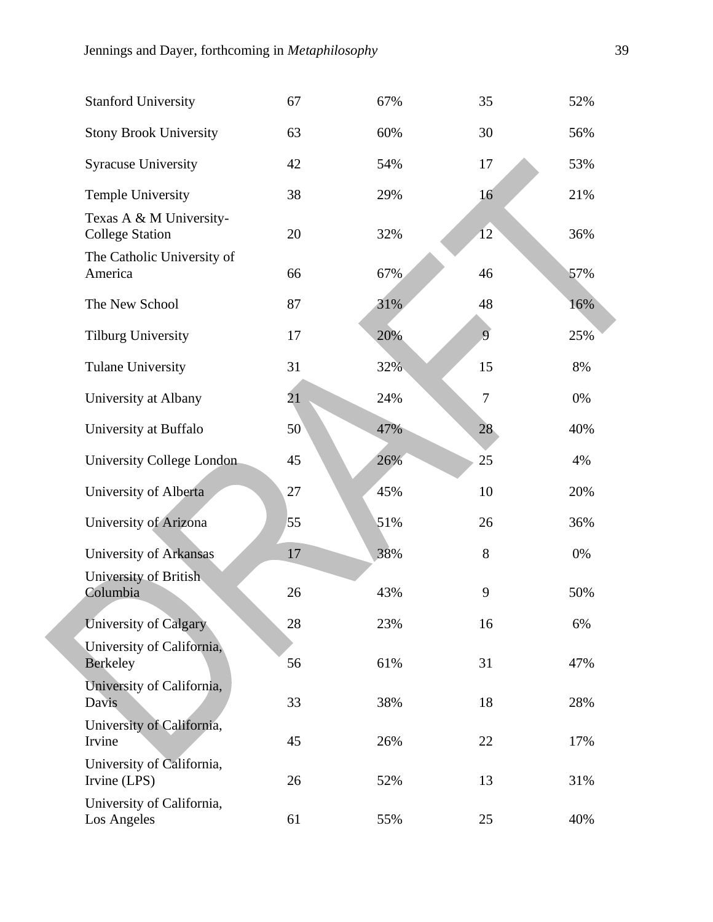| <b>Stanford University</b>                        | 67 | 67% | 35     | 52% |
|---------------------------------------------------|----|-----|--------|-----|
| <b>Stony Brook University</b>                     | 63 | 60% | 30     | 56% |
| <b>Syracuse University</b>                        | 42 | 54% | 17     | 53% |
| <b>Temple University</b>                          | 38 | 29% | 16     | 21% |
| Texas A & M University-<br><b>College Station</b> | 20 | 32% | 12     | 36% |
| The Catholic University of<br>America             | 66 | 67% | 46     | 57% |
| The New School                                    | 87 | 31% | 48     | 16% |
| <b>Tilburg University</b>                         | 17 | 20% | 9      | 25% |
| <b>Tulane University</b>                          | 31 | 32% | 15     | 8%  |
| University at Albany                              | 21 | 24% | $\tau$ | 0%  |
| University at Buffalo                             | 50 | 47% | 28     | 40% |
| University College London                         | 45 | 26% | 25     | 4%  |
| University of Alberta                             | 27 | 45% | 10     | 20% |
| University of Arizona                             | 55 | 51% | 26     | 36% |
| University of Arkansas                            | 17 | 38% | 8      | 0%  |
| University of British<br>Columbia                 | 26 | 43% | 9      | 50% |
| University of Calgary                             | 28 | 23% | 16     | 6%  |
| University of California,<br><b>Berkeley</b>      | 56 | 61% | 31     | 47% |
| University of California,<br>Davis                | 33 | 38% | 18     | 28% |
| University of California,<br>Irvine               | 45 | 26% | 22     | 17% |
| University of California,<br>Irvine (LPS)         | 26 | 52% | 13     | 31% |
| University of California,<br>Los Angeles          | 61 | 55% | 25     | 40% |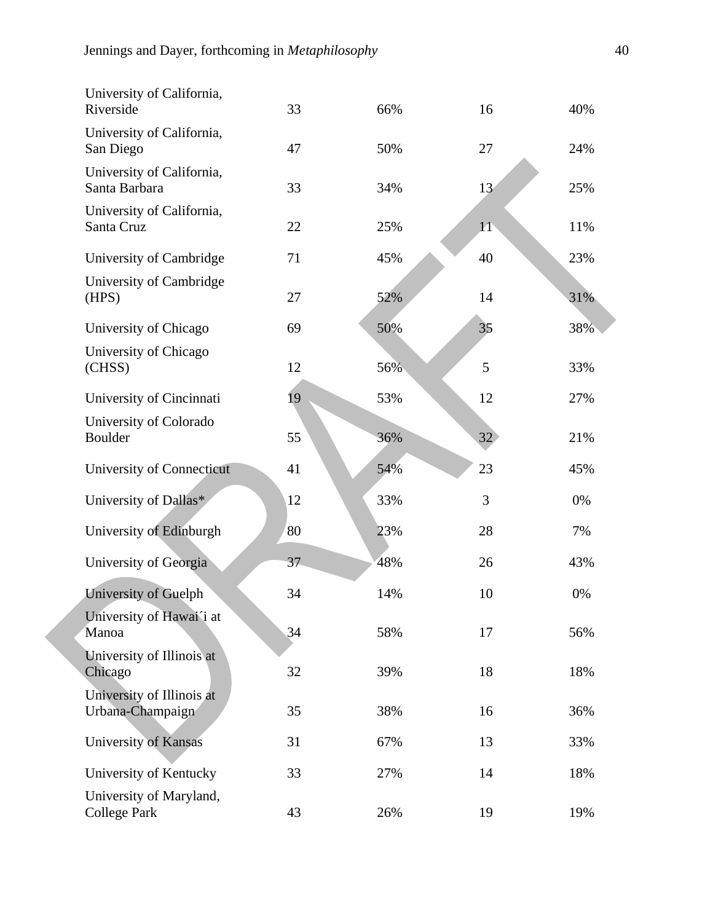| University of California,<br>Riverside         | 33 | 66% | 16 | 40% |
|------------------------------------------------|----|-----|----|-----|
| University of California,<br>San Diego         | 47 | 50% | 27 | 24% |
| University of California,<br>Santa Barbara     | 33 | 34% | 13 | 25% |
| University of California,<br>Santa Cruz        | 22 | 25% | 11 | 11% |
| University of Cambridge                        | 71 | 45% | 40 | 23% |
| University of Cambridge<br>(HPS)               | 27 | 52% | 14 | 31% |
| University of Chicago                          | 69 | 50% | 35 | 38% |
| University of Chicago<br>(CHSS)                | 12 | 56% | 5  | 33% |
| University of Cincinnati                       | 19 | 53% | 12 | 27% |
| University of Colorado<br>Boulder              | 55 | 36% | 32 | 21% |
| University of Connecticut                      | 41 | 54% | 23 | 45% |
| University of Dallas*                          | 12 | 33% | 3  | 0%  |
| University of Edinburgh                        | 80 | 23% | 28 | 7%  |
| University of Georgia                          | 37 | 48% | 26 | 43% |
| University of Guelph                           | 34 | 14% | 10 | 0%  |
| University of Hawai'i at<br>Manoa              | 34 | 58% | 17 | 56% |
| University of Illinois at<br>Chicago           | 32 | 39% | 18 | 18% |
| University of Illinois at<br>Urbana-Champaign  | 35 | 38% | 16 | 36% |
| University of Kansas                           | 31 | 67% | 13 | 33% |
| University of Kentucky                         | 33 | 27% | 14 | 18% |
| University of Maryland,<br><b>College Park</b> | 43 | 26% | 19 | 19% |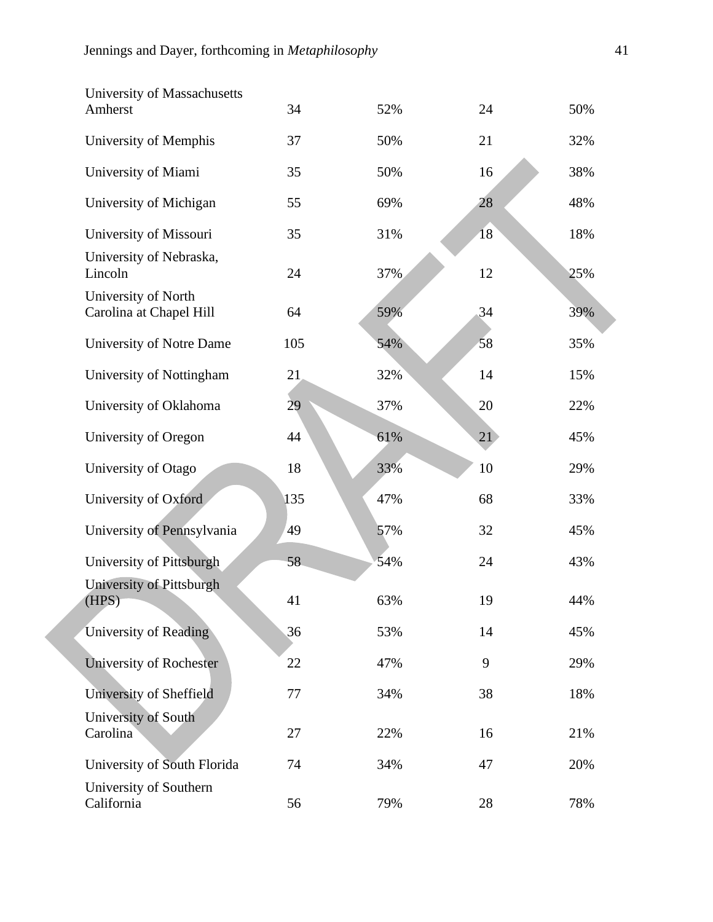| University of Massachusetts                    |     |     |    |     |
|------------------------------------------------|-----|-----|----|-----|
| Amherst                                        | 34  | 52% | 24 | 50% |
| University of Memphis                          | 37  | 50% | 21 | 32% |
| University of Miami                            | 35  | 50% | 16 | 38% |
| University of Michigan                         | 55  | 69% | 28 | 48% |
| University of Missouri                         | 35  | 31% | 18 | 18% |
| University of Nebraska,<br>Lincoln             | 24  | 37% | 12 | 25% |
| University of North<br>Carolina at Chapel Hill | 64  | 59% | 34 | 39% |
| University of Notre Dame                       | 105 | 54% | 58 | 35% |
| University of Nottingham                       | 21  | 32% | 14 | 15% |
| University of Oklahoma                         | 29  | 37% | 20 | 22% |
| University of Oregon                           | 44  | 61% | 21 | 45% |
| University of Otago                            | 18  | 33% | 10 | 29% |
| University of Oxford                           | 135 | 47% | 68 | 33% |
| University of Pennsylvania                     | 49  | 57% | 32 | 45% |
| University of Pittsburgh                       | 58  | 54% | 24 | 43% |
| University of Pittsburgh<br>(HPS)              | 41  | 63% | 19 | 44% |
| University of Reading                          | 36  | 53% | 14 | 45% |
| University of Rochester                        | 22  | 47% | 9  | 29% |
| University of Sheffield                        | 77  | 34% | 38 | 18% |
| University of South<br>Carolina                | 27  | 22% | 16 | 21% |
| University of South Florida                    | 74  | 34% | 47 | 20% |
| University of Southern<br>California           | 56  | 79% | 28 | 78% |